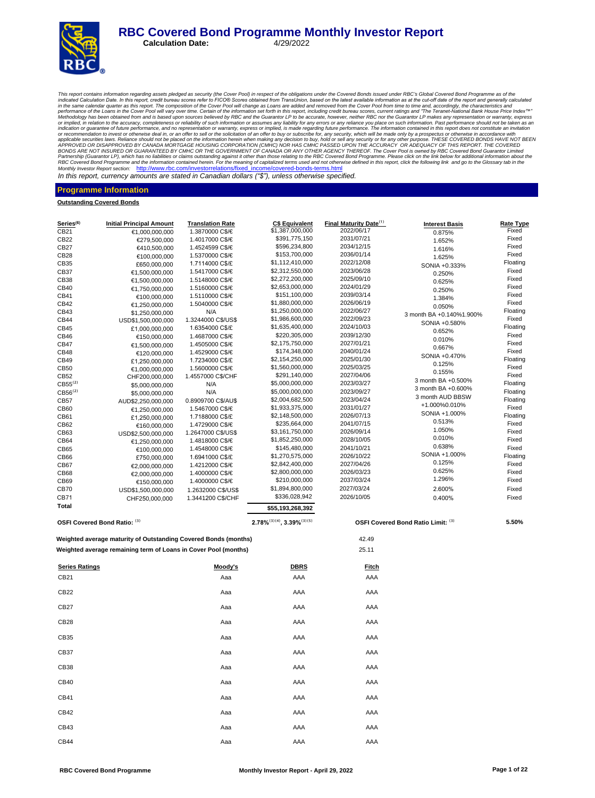# **RBC Covered Bond Programme Monthly Investor Report**<br>Calculation Date: 4/29/2022

**Calculation Date:** 

This report contains information regarding assets pledged as security (the Cover Pool) in respect of the obligations curdent the Cover Rolo information contains information as at the cut-off date of the report and generall or recommendation to invest or otherwise deal in, or an offer to sell or the solicitation of an offer to buy or subscribe for, any security, which will be made only by a prospectus or otherwise in accordance with APPROVER Monthly Investor Report section: http://www.rbc.com/investorrelations/fixed\_income/covered-bonds-terms.html

In this report, currency amounts are stated in Canadian dollars *("\$"),* unless otherwise specified.

#### **Programme Information**

**Outstanding Covered Bonds**

| Series <sup>(6)</sup> | <b>Initial Principal Amount</b>                                 | <b>Translation Rate</b>            | <b>C\$ Equivalent</b>                 | Final Maturity Date <sup>(1)</sup> | <b>Interest Basis</b>              | <b>Rate Type</b> |
|-----------------------|-----------------------------------------------------------------|------------------------------------|---------------------------------------|------------------------------------|------------------------------------|------------------|
| CB21                  | €1,000,000,000                                                  | 1.3870000 C\$/€                    | \$1,387,000,000                       | 2022/06/17                         | 0.875%                             | Fixed            |
| CB22                  | €279,500,000                                                    | 1.4017000 C\$/€                    | \$391,775,150                         | 2031/07/21                         | 1.652%                             | Fixed            |
| CB27                  | €410,500,000                                                    | 1.4524599 C\$/€                    | \$596,234,800                         | 2034/12/15                         | 1.616%                             | Fixed            |
| CB28                  | €100,000,000                                                    | 1.5370000 C\$/€                    | \$153,700,000                         | 2036/01/14                         | 1.625%                             | Fixed            |
| CB35                  | £650,000,000                                                    | 1.7114000 C\$/£                    | \$1,112,410,000                       | 2022/12/08                         | SONIA +0.333%                      | Floating         |
| CB37                  | €1,500,000,000                                                  | 1.5417000 C\$/€                    | \$2,312,550,000                       | 2023/06/28                         | 0.250%                             | Fixed            |
| CB38                  | €1,500,000,000                                                  | 1.5148000 C\$/€                    | \$2,272,200,000                       | 2025/09/10                         | 0.625%                             | Fixed            |
| CB40                  | €1,750,000,000                                                  | 1.5160000 C\$/€                    | \$2,653,000,000                       | 2024/01/29                         | 0.250%                             | Fixed            |
| CB41                  | €100,000,000                                                    | 1.5110000 C\$/€                    | \$151,100,000                         | 2039/03/14                         | 1.384%                             | Fixed            |
| CB42                  | €1,250,000,000                                                  | 1.5040000 C\$/€                    | \$1,880,000,000                       | 2026/06/19                         | 0.050%                             | Fixed            |
| CB43                  | \$1,250,000,000                                                 | N/A                                | \$1,250,000,000                       | 2022/06/27                         | 3 month BA +0.140%1.900%           | Floating         |
| CB44                  | USD\$1,500,000,000                                              | 1.3244000 C\$/US\$                 | \$1,986,600,000                       | 2022/09/23                         |                                    | Fixed            |
| CB45                  | £1,000,000,000                                                  | 1.6354000 C\$/£                    | \$1,635,400,000                       | 2024/10/03                         | SONIA +0.580%                      | Floating         |
| CB46                  | €150.000.000                                                    | 1.4687000 C\$/€                    | \$220,305,000                         | 2039/12/30                         | 0.652%                             | Fixed            |
| CB47                  | €1,500,000,000                                                  | 1.4505000 C\$/€                    | \$2,175,750,000                       | 2027/01/21                         | 0.010%                             | Fixed            |
| CB48                  | €120,000,000                                                    | 1.4529000 C\$/€                    | \$174,348,000                         | 2040/01/24                         | 0.667%                             | Fixed            |
| CB49                  | £1,250,000,000                                                  | 1.7234000 C\$/£                    | \$2,154,250,000                       | 2025/01/30                         | SONIA +0.470%                      | Floating         |
| CB50                  | €1,000,000,000                                                  | 1.5600000 C\$/€                    | \$1,560,000,000                       | 2025/03/25                         | 0.125%                             | Fixed            |
| CB52                  | CHF200,000,000                                                  | 1.4557000 C\$/CHF                  | \$291,140,000                         | 2027/04/06                         | 0.155%                             | Fixed            |
| $CB55^{(2)}$          | \$5,000,000,000                                                 | N/A                                | \$5,000,000,000                       | 2023/03/27                         | 3 month BA +0.500%                 | Floating         |
| CB56 <sup>(2)</sup>   | \$5,000,000,000                                                 | N/A                                | \$5,000,000,000                       | 2023/09/27                         | 3 month BA +0.600%                 | Floating         |
| CB57                  | AUD\$2,250,000,000                                              | 0.8909700 C\$/AU\$                 | \$2,004,682,500                       | 2023/04/24                         | 3 month AUD BBSW                   | Floating         |
| CB60                  | €1,250,000,000                                                  | 1.5467000 C\$/€                    | \$1,933,375,000                       | 2031/01/27                         | +1.000%0.010%                      | Fixed            |
| CB61                  |                                                                 | 1.7188000 C\$/£                    | \$2,148,500,000                       | 2026/07/13                         | SONIA +1.000%                      | Floating         |
| CB62                  | £1,250,000,000                                                  | 1.4729000 C\$/€                    | \$235,664,000                         | 2041/07/15                         | 0.513%                             | Fixed            |
| CB63                  | €160,000,000                                                    | 1.2647000 C\$/US\$                 | \$3,161,750,000                       | 2026/09/14                         | 1.050%                             | Fixed            |
| CB64                  | USD\$2,500,000,000                                              | 1.4818000 C\$/€                    | \$1,852,250,000                       | 2028/10/05                         | 0.010%                             | Fixed            |
|                       | €1,250,000,000                                                  |                                    | \$145,480,000                         | 2041/10/21                         | 0.638%                             | Fixed            |
| CB65<br>CB66          | €100,000,000                                                    | 1.4548000 C\$/€<br>1.6941000 C\$/£ | \$1,270,575,000                       | 2026/10/22                         | SONIA +1.000%                      | Floating         |
| CB67                  | £750,000,000                                                    | 1.4212000 C\$/€                    | \$2,842,400,000                       | 2027/04/26                         | 0.125%                             | Fixed            |
| CB68                  | €2,000,000,000                                                  | 1.4000000 C\$/€                    | \$2,800,000,000                       | 2026/03/23                         | 0.625%                             | Fixed            |
|                       | €2,000,000,000                                                  |                                    | \$210,000,000                         | 2037/03/24                         | 1.296%                             | Fixed            |
| CB69                  | €150,000,000                                                    | 1.4000000 C\$/€                    | \$1,894,800,000                       | 2027/03/24                         |                                    | Fixed            |
| <b>CB70</b>           | USD\$1,500,000,000                                              | 1.2632000 C\$/US\$                 | \$336,028,942                         |                                    | 2.600%                             |                  |
| CB71                  | CHF250,000,000                                                  | 1.3441200 C\$/CHF                  |                                       | 2026/10/05                         | 0.400%                             | Fixed            |
| Total                 |                                                                 |                                    | \$55,193,268,392                      |                                    |                                    |                  |
|                       | OSFI Covered Bond Ratio: (3)                                    |                                    | $2.78\%^{(3)(4)}$ , $3.39\%^{(3)(5)}$ |                                    | OSFI Covered Bond Ratio Limit: (3) | 5.50%            |
|                       | Weighted average maturity of Outstanding Covered Bonds (months) |                                    |                                       | 42.49                              |                                    |                  |
|                       | Weighted average remaining term of Loans in Cover Pool (months) |                                    |                                       | 25.11                              |                                    |                  |
| <b>Series Ratings</b> |                                                                 | Moody's                            | <b>DBRS</b>                           | Fitch                              |                                    |                  |
| CB21                  |                                                                 | Aaa                                | AAA                                   | AAA                                |                                    |                  |
| CB22                  |                                                                 | Aaa                                | AAA                                   | AAA                                |                                    |                  |
| CB27                  |                                                                 | Aaa                                | AAA                                   | AAA                                |                                    |                  |
| CB28                  |                                                                 | Aaa                                | AAA                                   | AAA                                |                                    |                  |
| CB35                  |                                                                 | Aaa                                | AAA                                   | AAA                                |                                    |                  |
| CB37                  |                                                                 | Aaa                                | AAA                                   | AAA                                |                                    |                  |
| <b>CB38</b>           |                                                                 | Aaa                                | AAA                                   | AAA                                |                                    |                  |
| CB40                  |                                                                 | Aaa                                | AAA                                   | AAA                                |                                    |                  |
| CB41                  |                                                                 | Aaa                                | AAA                                   | AAA                                |                                    |                  |
| CB42                  |                                                                 | Aaa                                | AAA                                   | AAA                                |                                    |                  |
| CB43                  |                                                                 | Aaa                                | AAA                                   | AAA                                |                                    |                  |

CB44 Aaa AAA AAA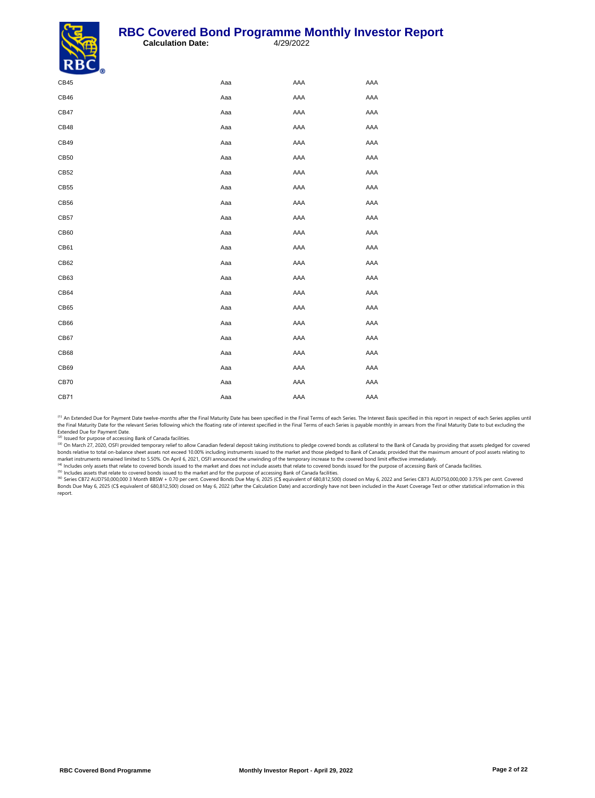#### **RBC Covered Bond Programme Monthly Investor Report**<br>Calculation Date: 4/29/2022 **Calculation Date:**



| $\sim$      |     |     |     |
|-------------|-----|-----|-----|
| CB45        | Aaa | AAA | AAA |
| CB46        | Aaa | AAA | AAA |
| CB47        | Aaa | AAA | AAA |
| CB48        | Aaa | AAA | AAA |
| CB49        | Aaa | AAA | AAA |
| CB50        | Aaa | AAA | AAA |
| CB52        | Aaa | AAA | AAA |
| CB55        | Aaa | AAA | AAA |
| CB56        | Aaa | AAA | AAA |
| CB57        | Aaa | AAA | AAA |
| CB60        | Aaa | AAA | AAA |
| CB61        | Aaa | AAA | AAA |
| CB62        | Aaa | AAA | AAA |
| CB63        | Aaa | AAA | AAA |
| CB64        | Aaa | AAA | AAA |
| CB65        | Aaa | AAA | AAA |
| CB66        | Aaa | AAA | AAA |
| CB67        | Aaa | AAA | AAA |
| CB68        | Aaa | AAA | AAA |
| CB69        | Aaa | AAA | AAA |
| <b>CB70</b> | Aaa | AAA | AAA |
| CB71        | Aaa | AAA | AAA |
|             |     |     |     |

(1) An Extended Due for Payment Date twelve-months after the Final Maturity Date has been specified in the Final Terms of each Series. The Interest Basis specified in this report in respect of each Series applies until the Final Maturity Date for the relevant Series following which the floating rate of interest specified in the Final Terms of each Series is payable monthly in arrears from the Final Maturity Date to but excluding the Extended Due for Payment Date.

<sup>(2)</sup> Issued for purpose of accessing Bank of Canada facilities.

<sup>(3)</sup> On March 27, 2020, OSFI provided temporary relief to allow Canadian federal deposit taking institutions to pledge covered bonds as collateral to the Bank of Canada by providing that assets pledged for covered<br>bonds r

market instruments remained limited to 5.50%. On April 6, 2021, OSFI announced the unwinding of the temporary increase to the covered bond limit effective immediately.<br><sup>(4)</sup> Includes only assets that relate to covered bond

<sup>(s)</sup> Includes assets that relate to covered bonds issued to the market and for the purpose of accessing Bank of Canada facilities.<br><sup>(6)</sup> Series CB72 AUD750,000,000 3 Month BBSW + 0.70 per cent. Covered Bonds Due May 6, 20 Bonds Due May 6, 2025 (C\$ equivalent of 680,812,500) closed on May 6, 2022 (after the Calculation Date) and accordingly have not been included in the Asset Coverage Test or other statistical information in this report.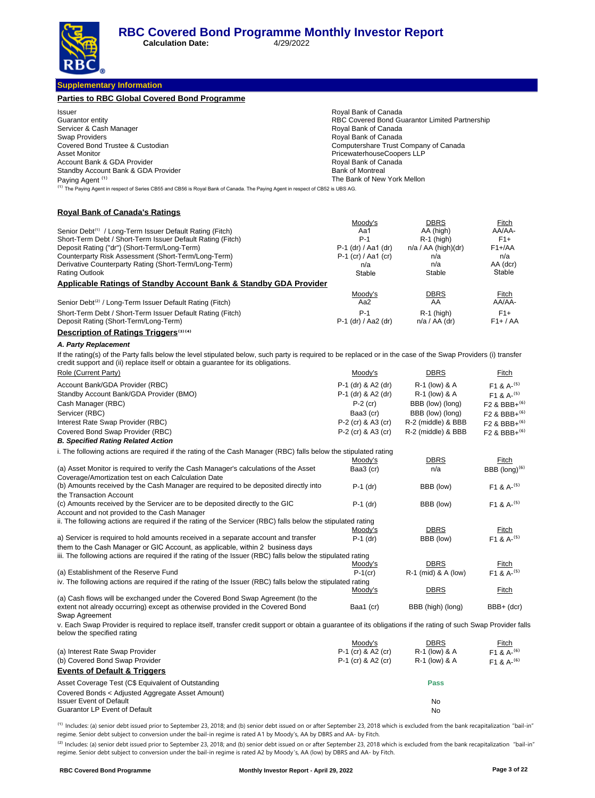**Calculation Date:** 4/29/2022

**Supplementary Information**

| <b>Parties to RBC Global Covered Bond Programme</b>                                                                                                                                                                                                |                                                    |                                                |                                      |
|----------------------------------------------------------------------------------------------------------------------------------------------------------------------------------------------------------------------------------------------------|----------------------------------------------------|------------------------------------------------|--------------------------------------|
| Issuer                                                                                                                                                                                                                                             | Royal Bank of Canada                               |                                                |                                      |
| Guarantor entity                                                                                                                                                                                                                                   |                                                    | RBC Covered Bond Guarantor Limited Partnership |                                      |
| Servicer & Cash Manager                                                                                                                                                                                                                            | Royal Bank of Canada                               |                                                |                                      |
| Swap Providers                                                                                                                                                                                                                                     | Royal Bank of Canada                               |                                                |                                      |
| Covered Bond Trustee & Custodian                                                                                                                                                                                                                   | Computershare Trust Company of Canada              |                                                |                                      |
| <b>Asset Monitor</b><br>Account Bank & GDA Provider                                                                                                                                                                                                | PricewaterhouseCoopers LLP<br>Royal Bank of Canada |                                                |                                      |
| Standby Account Bank & GDA Provider                                                                                                                                                                                                                | <b>Bank of Montreal</b>                            |                                                |                                      |
| Paying Agent <sup>(1)</sup>                                                                                                                                                                                                                        | The Bank of New York Mellon                        |                                                |                                      |
| <sup>(1)</sup> The Paying Agent in respect of Series CB55 and CB56 is Royal Bank of Canada. The Paying Agent in respect of CB52 is UBS AG.                                                                                                         |                                                    |                                                |                                      |
| <b>Royal Bank of Canada's Ratings</b>                                                                                                                                                                                                              |                                                    |                                                |                                      |
|                                                                                                                                                                                                                                                    | Moody's                                            | <b>DBRS</b>                                    | Fitch                                |
| Senior Debt <sup>(1)</sup> / Long-Term Issuer Default Rating (Fitch)                                                                                                                                                                               | Aa1                                                | AA (high)                                      | AA/AA-                               |
| Short-Term Debt / Short-Term Issuer Default Rating (Fitch)                                                                                                                                                                                         | $P-1$                                              | $R-1$ (high)                                   | $F1+$                                |
| Deposit Rating ("dr") (Short-Term/Long-Term)<br>Counterparty Risk Assessment (Short-Term/Long-Term)                                                                                                                                                | P-1 (dr) / Aa1 (dr)<br>P-1 (cr) / Aa1 (cr)         | $n/a / AA$ (high)(dr)<br>n/a                   | $F1 + A$<br>n/a                      |
| Derivative Counterparty Rating (Short-Term/Long-Term)                                                                                                                                                                                              | n/a                                                | n/a                                            | AA (dcr)                             |
| <b>Rating Outlook</b>                                                                                                                                                                                                                              | Stable                                             | Stable                                         | Stable                               |
| <b>Applicable Ratings of Standby Account Bank &amp; Standby GDA Provider</b>                                                                                                                                                                       |                                                    |                                                |                                      |
|                                                                                                                                                                                                                                                    | Moody's                                            | <b>DBRS</b>                                    | <b>Fitch</b>                         |
| Senior Debt <sup>(2)</sup> / Long-Term Issuer Default Rating (Fitch)                                                                                                                                                                               | Aa2                                                | AA                                             | AA/AA-                               |
| Short-Term Debt / Short-Term Issuer Default Rating (Fitch)                                                                                                                                                                                         | P-1                                                | $R-1$ (high)                                   | $F1+$                                |
| Deposit Rating (Short-Term/Long-Term)                                                                                                                                                                                                              | P-1 (dr) / Aa2 (dr)                                | $n/a / AA$ (dr)                                | $F1+ / AA$                           |
| <b>Description of Ratings Triggers</b> <sup>(3)(4)</sup>                                                                                                                                                                                           |                                                    |                                                |                                      |
|                                                                                                                                                                                                                                                    |                                                    |                                                |                                      |
| A. Party Replacement                                                                                                                                                                                                                               |                                                    |                                                |                                      |
| If the rating(s) of the Party falls below the level stipulated below, such party is required to be replaced or in the case of the Swap Providers (i) transfer<br>credit support and (ii) replace itself or obtain a guarantee for its obligations. |                                                    |                                                |                                      |
| Role (Current Party)                                                                                                                                                                                                                               | Moody's                                            | <b>DBRS</b>                                    | <u>Fitch</u>                         |
| Account Bank/GDA Provider (RBC)                                                                                                                                                                                                                    | P-1 (dr) & A2 (dr)                                 | R-1 (low) & A                                  | F <sub>1</sub> & A- $(5)$            |
| Standby Account Bank/GDA Provider (BMO)                                                                                                                                                                                                            | P-1 (dr) & A2 (dr)                                 | R-1 (low) & A                                  | $F1 & A-(5)$                         |
| Cash Manager (RBC)                                                                                                                                                                                                                                 | $P-2$ (cr)                                         | BBB (low) (long)                               | F <sub>2</sub> & BBB+ <sup>(6)</sup> |
| Servicer (RBC)                                                                                                                                                                                                                                     | Baa3 (cr)                                          | BBB (low) (long)                               | F <sub>2</sub> & BBB+ <sup>(6)</sup> |
| Interest Rate Swap Provider (RBC)                                                                                                                                                                                                                  | P-2 (cr) & A3 (cr)                                 | R-2 (middle) & BBB                             | $F2$ & BBB+ <sup>(6)</sup>           |
| Covered Bond Swap Provider (RBC)                                                                                                                                                                                                                   | P-2 (cr) & A3 (cr)                                 | R-2 (middle) & BBB                             | F <sub>2</sub> & BBB+ <sup>(6)</sup> |
| <b>B. Specified Rating Related Action</b>                                                                                                                                                                                                          |                                                    |                                                |                                      |
| i. The following actions are required if the rating of the Cash Manager (RBC) falls below the stipulated rating                                                                                                                                    |                                                    |                                                |                                      |
|                                                                                                                                                                                                                                                    | Moody's                                            | DBRS                                           | Fitch                                |
| (a) Asset Monitor is required to verify the Cash Manager's calculations of the Asset<br>Coverage/Amortization test on each Calculation Date                                                                                                        | Baa3 (cr)                                          | n/a                                            | BBB (long) $(6)$                     |
| (b) Amounts received by the Cash Manager are required to be deposited directly into<br>the Transaction Account                                                                                                                                     | $P-1$ (dr)                                         | BBB (low)                                      | F <sub>1</sub> & A <sup>-(5)</sup>   |
| (c) Amounts received by the Servicer are to be deposited directly to the GIC                                                                                                                                                                       | $P-1$ (dr)                                         | BBB (low)                                      | $F1 & A-(5)$                         |
| Account and not provided to the Cash Manager                                                                                                                                                                                                       |                                                    |                                                |                                      |
| ii. The following actions are required if the rating of the Servicer (RBC) falls below the stipulated rating                                                                                                                                       |                                                    |                                                |                                      |
| a) Servicer is required to hold amounts received in a separate account and transfer                                                                                                                                                                | Moody's<br>$P-1$ (dr)                              | <b>DBRS</b>                                    | Fitch                                |
| them to the Cash Manager or GIC Account, as applicable, within 2 business days                                                                                                                                                                     |                                                    | BBB (low)                                      | $F1 & A-(5)$                         |
| iii. The following actions are required if the rating of the Issuer (RBC) falls below the stipulated rating                                                                                                                                        |                                                    |                                                |                                      |
|                                                                                                                                                                                                                                                    | Moody's                                            | <b>DBRS</b>                                    | Fitch                                |
| (a) Establishment of the Reserve Fund                                                                                                                                                                                                              | $P-1$ (cr)                                         | R-1 (mid) & A (low)                            | $F1 & A-(5)$                         |
| iv. The following actions are required if the rating of the Issuer (RBC) falls below the stipulated rating                                                                                                                                         |                                                    |                                                |                                      |
|                                                                                                                                                                                                                                                    | Moody's                                            | DBRS                                           | <u>Fitch</u>                         |
| (a) Cash flows will be exchanged under the Covered Bond Swap Agreement (to the<br>extent not already occurring) except as otherwise provided in the Covered Bond                                                                                   | Baa1 (cr)                                          | BBB (high) (long)                              | BBB+ (dcr)                           |
| Swap Agreement                                                                                                                                                                                                                                     |                                                    |                                                |                                      |
| v. Each Swap Provider is required to replace itself, transfer credit support or obtain a guarantee of its obligations if the rating of such Swap Provider falls<br>below the specified rating                                                      |                                                    |                                                |                                      |
|                                                                                                                                                                                                                                                    | Moody's                                            | DBRS                                           | <u>Fitch</u>                         |
| (a) Interest Rate Swap Provider                                                                                                                                                                                                                    | P-1 (cr) & A2 (cr)                                 | R-1 (low) & A                                  | F <sub>1</sub> & A- <sup>(6)</sup>   |
| (b) Covered Bond Swap Provider                                                                                                                                                                                                                     | P-1 (cr) & A2 (cr)                                 | R-1 (low) & A                                  | F <sub>1</sub> & A- <sup>(6)</sup>   |
| <b>Events of Default &amp; Triggers</b>                                                                                                                                                                                                            |                                                    |                                                |                                      |
| Asset Coverage Test (C\$ Equivalent of Outstanding                                                                                                                                                                                                 |                                                    | Pass                                           |                                      |
| Covered Bonds < Adjusted Aggregate Asset Amount)                                                                                                                                                                                                   |                                                    |                                                |                                      |
| <b>Issuer Event of Default</b>                                                                                                                                                                                                                     |                                                    | No                                             |                                      |
| Guarantor LP Event of Default                                                                                                                                                                                                                      |                                                    | No                                             |                                      |
|                                                                                                                                                                                                                                                    |                                                    |                                                |                                      |

<sup>(1)</sup> Includes: (a) senior debt issued prior to September 23, 2018; and (b) senior debt issued on or after September 23, 2018 which is excluded from the bank recapitalization "bail-in" regime. Senior debt subject to conversion under the bail-in regime is rated A1 by Moody's, AA by DBRS and AA- by Fitch.

 $^{(2)}$  Includes: (a) senior debt issued prior to September 23, 2018; and (b) senior debt issued on or after September 23, 2018 which is excluded from the bank recapitalization "bail-in" regime. Senior debt subject to conversion under the bail-in regime is rated A2 by Moody 's, AA (low) by DBRS and AA- by Fitch.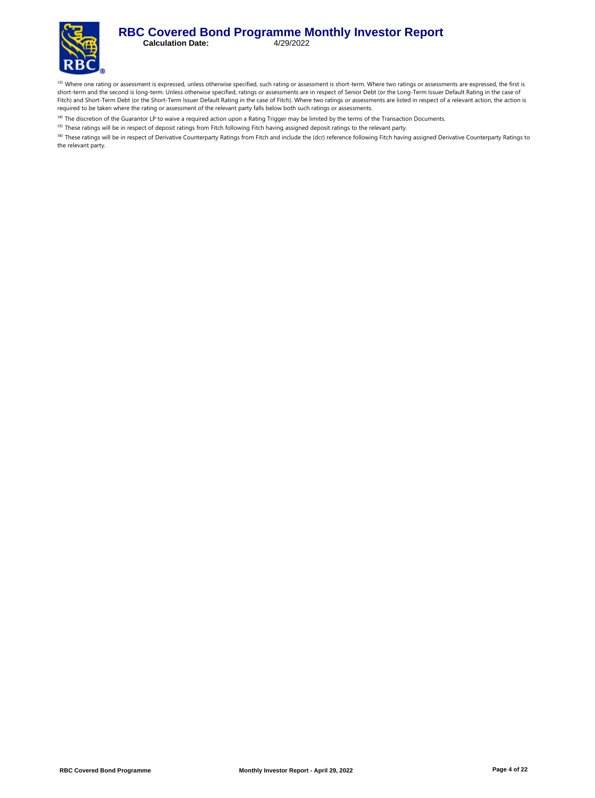#### **RBC Covered Bond Programme Monthly Investor Report**<br>Calculation Date: 4/29/2022 **Calculation Date:**



<sup>(3)</sup> Where one rating or assessment is expressed, unless otherwise specified, such rating or assessment is short-term. Where two ratings or assessments are expressed, the first is short-term and the second is long-term. Unless otherwise specified, ratings or assessments are in respect of Senior Debt (or the Long-Term Issuer Default Rating in the case of Fitch) and Short-Term Debt (or the Short-Term Issuer Default Rating in the case of Fitch). Where two ratings or assessments are listed in respect of a relevant action, the action is required to be taken where the rating or assessment of the relevant party falls below both such ratings or assessments.

<sup>(4)</sup> The discretion of the Guarantor LP to waive a required action upon a Rating Trigger may be limited by the terms of the Transaction Documents.

<sup>(5)</sup> These ratings will be in respect of deposit ratings from Fitch following Fitch having assigned deposit ratings to the relevant party.

<sup>(6)</sup> These ratings will be in respect of Derivative Counterparty Ratings from Fitch and include the (dcr) reference following Fitch having assigned Derivative Counterparty Ratings to the relevant party.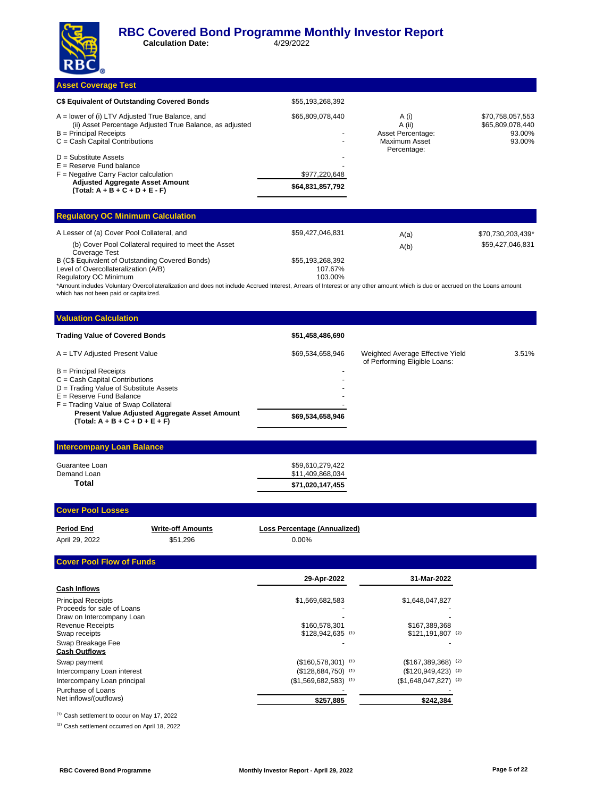**Calculation Date:** 4/29/2022

#### **Asset Coverage Test**

| \$55,193,268,392                  |                                                       |                                                          |
|-----------------------------------|-------------------------------------------------------|----------------------------------------------------------|
|                                   |                                                       |                                                          |
| \$65,809,078,440                  | A (i)<br>A (ii)<br>Asset Percentage:<br>Maximum Asset | \$70,758,057,553<br>\$65,809,078,440<br>93.00%<br>93.00% |
| \$977,220,648<br>\$64,831,857,792 |                                                       |                                                          |
|                                   |                                                       | Percentage:                                              |

| <b>Requiatory OC Minimum Calculation</b>                              |                  |      |                   |  |  |
|-----------------------------------------------------------------------|------------------|------|-------------------|--|--|
| A Lesser of (a) Cover Pool Collateral, and                            | \$59.427.046.831 | A(a) | \$70,730,203,439* |  |  |
| (b) Cover Pool Collateral required to meet the Asset<br>Coverage Test |                  | A(b) | \$59.427.046.831  |  |  |
| B (C\$ Equivalent of Outstanding Covered Bonds)                       | \$55,193,268,392 |      |                   |  |  |
| Level of Overcollateralization (A/B)                                  | 107.67%          |      |                   |  |  |
| <b>Regulatory OC Minimum</b>                                          | 103.00%          |      |                   |  |  |

\*Amount includes Voluntary Overcollateralization and does not include Accrued Interest, Arrears of Interest or any other amount which is due or accrued on the Loans amount which has not been paid or capitalized.

| <b>Valuation Calculation</b>                                                             |                  |                                                                   |       |  |  |  |
|------------------------------------------------------------------------------------------|------------------|-------------------------------------------------------------------|-------|--|--|--|
| <b>Trading Value of Covered Bonds</b>                                                    | \$51,458,486,690 |                                                                   |       |  |  |  |
| A = LTV Adjusted Present Value                                                           | \$69,534,658,946 | Weighted Average Effective Yield<br>of Performing Eligible Loans: | 3.51% |  |  |  |
| $B =$ Principal Receipts                                                                 |                  |                                                                   |       |  |  |  |
| $C = Cash$ Capital Contributions                                                         |                  |                                                                   |       |  |  |  |
| D = Trading Value of Substitute Assets                                                   |                  |                                                                   |       |  |  |  |
| $E =$ Reserve Fund Balance                                                               | -                |                                                                   |       |  |  |  |
| $F =$ Trading Value of Swap Collateral                                                   |                  |                                                                   |       |  |  |  |
| <b>Present Value Adjusted Aggregate Asset Amount</b><br>$(Total: A + B + C + D + E + F)$ | \$69,534,658,946 |                                                                   |       |  |  |  |
|                                                                                          |                  |                                                                   |       |  |  |  |

### **Intercompany Loan Balance**

| Total          | \$71,020,147,455 |
|----------------|------------------|
| Demand Loan    | \$11,409,868,034 |
| Guarantee Loan | \$59,610,279,422 |

#### **Cover Pool Losses**

| <b>Period End</b> | <b>Write-off Amounts</b> | Loss Percentage (Annualized) |
|-------------------|--------------------------|------------------------------|
| April 29, 2022    | \$51.296                 | 0.00%                        |

#### **Cover Pool Flow of Funds**

|                             | 29-Apr-2022            | 31-Mar-2022                     |  |
|-----------------------------|------------------------|---------------------------------|--|
| <b>Cash Inflows</b>         |                        |                                 |  |
| <b>Principal Receipts</b>   | \$1,569,682,583        | \$1,648,047,827                 |  |
| Proceeds for sale of Loans  |                        |                                 |  |
| Draw on Intercompany Loan   |                        |                                 |  |
| <b>Revenue Receipts</b>     | \$160,578,301          | \$167.389.368                   |  |
| Swap receipts               | $$128,942,635$ (1)     | $$121,191,807$ (2)              |  |
| Swap Breakage Fee           |                        |                                 |  |
| <b>Cash Outflows</b>        |                        |                                 |  |
| Swap payment                | $($160,578,301)$ (1)   | $($167,389,368)$ <sup>(2)</sup> |  |
| Intercompany Loan interest  | $($128,684,750)$ (1)   | $($120,949,423)$ <sup>(2)</sup> |  |
| Intercompany Loan principal | $($1,569,682,583)$ (1) | $($1,648,047,827)$ (2)          |  |
| Purchase of Loans           |                        |                                 |  |
| Net inflows/(outflows)      | \$257,885              | \$242,384                       |  |

<sup>(1)</sup> Cash settlement to occur on May 17, 2022

<sup>(2)</sup> Cash settlement occurred on April 18, 2022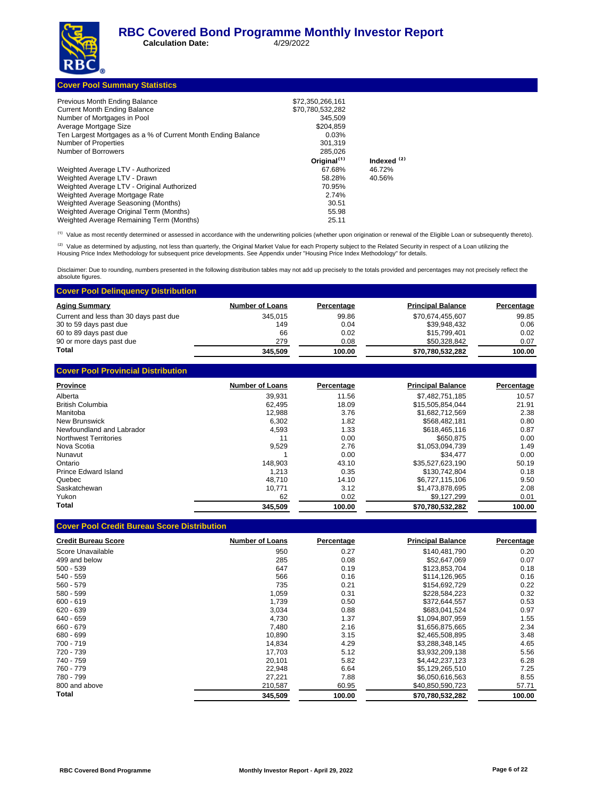**Calculation Date:** 4/29/2022

|  | <b>Cover Pool Summary Statistics</b> |
|--|--------------------------------------|
|  |                                      |

| Previous Month Ending Balance                                | \$72,350,266,161        |                        |
|--------------------------------------------------------------|-------------------------|------------------------|
| <b>Current Month Ending Balance</b>                          | \$70,780,532,282        |                        |
| Number of Mortgages in Pool                                  | 345.509                 |                        |
| Average Mortgage Size                                        | \$204.859               |                        |
| Ten Largest Mortgages as a % of Current Month Ending Balance | 0.03%                   |                        |
| Number of Properties                                         | 301.319                 |                        |
| Number of Borrowers                                          | 285.026                 |                        |
|                                                              | Original <sup>(1)</sup> | Indexed <sup>(2)</sup> |
| Weighted Average LTV - Authorized                            | 67.68%                  | 46.72%                 |
| Weighted Average LTV - Drawn                                 | 58.28%                  | 40.56%                 |
| Weighted Average LTV - Original Authorized                   | 70.95%                  |                        |
| Weighted Average Mortgage Rate                               | 2.74%                   |                        |
| Weighted Average Seasoning (Months)                          | 30.51                   |                        |
| Weighted Average Original Term (Months)                      | 55.98                   |                        |
| Weighted Average Remaining Term (Months)                     | 25.11                   |                        |

<sup>(1)</sup> Value as most recently determined or assessed in accordance with the underwriting policies (whether upon origination or renewal of the Eligible Loan or subsequently thereto).

<sup>(2)</sup> Value as determined by adjusting, not less than quarterly, the Original Market Value for each Property subject to the Related Security in respect of a Loan utilizing the<br>Housing Price Index Methodology for subsequent

Disclaimer: Due to rounding, numbers presented in the following distribution tables may not add up precisely to the totals provided and percentages may not precisely reflect the absolute figures.

| <b>Cover Pool Delinquency Distribution</b> |                        |            |                          |            |
|--------------------------------------------|------------------------|------------|--------------------------|------------|
| <b>Aging Summary</b>                       | <b>Number of Loans</b> | Percentage | <b>Principal Balance</b> | Percentage |
| Current and less than 30 days past due     | 345.015                | 99.86      | \$70,674,455,607         | 99.85      |
| 30 to 59 days past due                     | 149                    | 0.04       | \$39,948,432             | 0.06       |
| 60 to 89 days past due                     | 66                     | 0.02       | \$15.799.401             | 0.02       |
| 90 or more days past due                   | 279                    | 0.08       | \$50,328,842             | 0.07       |
| Total                                      | 345,509                | 100.00     | \$70,780,532,282         | 100.00     |
| <b>Cover Pool Provincial Distribution</b>  |                        |            |                          |            |
| <b>Province</b>                            | <b>Number of Loans</b> | Percentage | <b>Principal Balance</b> | Percentage |
| Alberta                                    | 39.931                 | 11.56      | \$7,482,751,185          | 10.57      |
| <b>British Columbia</b>                    | 62.495                 | 18.09      | \$15,505,854,044         | 21.91      |

| Total                        | 345.509 | 100.00 | \$70,780,532,282 | 100.00 |
|------------------------------|---------|--------|------------------|--------|
| Yukon                        | 62      | 0.02   | \$9.127.299      | 0.01   |
| Saskatchewan                 | 10.771  | 3.12   | \$1,473,878,695  | 2.08   |
| Quebec                       | 48.710  | 14.10  | \$6,727,115,106  | 9.50   |
| Prince Edward Island         | 1.213   | 0.35   | \$130.742.804    | 0.18   |
| Ontario                      | 148.903 | 43.10  | \$35.527.623.190 | 50.19  |
| Nunavut                      |         | 0.00   | \$34.477         | 0.00   |
| Nova Scotia                  | 9.529   | 2.76   | \$1,053,094,739  | 1.49   |
| <b>Northwest Territories</b> | 11      | 0.00   | \$650.875        | 0.00   |
| Newfoundland and Labrador    | 4,593   | 1.33   | \$618,465,116    | 0.87   |
| New Brunswick                | 6,302   | 1.82   | \$568,482,181    | 0.80   |
| Manitoba                     | 12.988  | 3.76   | \$1,682,712,569  | 2.38   |
| <b>British Columbia</b>      | 62.495  | 18.09  | \$15.505.854.044 | 21.91  |

#### **Cover Pool Credit Bureau Score Distribution**

| <b>Credit Bureau Score</b> | <b>Number of Loans</b> | Percentage | <b>Principal Balance</b> | Percentage |
|----------------------------|------------------------|------------|--------------------------|------------|
| Score Unavailable          | 950                    | 0.27       | \$140,481,790            | 0.20       |
| 499 and below              | 285                    | 0.08       | \$52,647,069             | 0.07       |
| $500 - 539$                | 647                    | 0.19       | \$123,853,704            | 0.18       |
| $540 - 559$                | 566                    | 0.16       | \$114,126,965            | 0.16       |
| $560 - 579$                | 735                    | 0.21       | \$154,692,729            | 0.22       |
| 580 - 599                  | 1,059                  | 0.31       | \$228,584,223            | 0.32       |
| $600 - 619$                | 1,739                  | 0.50       | \$372,644,557            | 0.53       |
| $620 - 639$                | 3,034                  | 0.88       | \$683,041,524            | 0.97       |
| 640 - 659                  | 4.730                  | 1.37       | \$1,094,807,959          | 1.55       |
| 660 - 679                  | 7,480                  | 2.16       | \$1,656,875,665          | 2.34       |
| 680 - 699                  | 10,890                 | 3.15       | \$2,465,508,895          | 3.48       |
| $700 - 719$                | 14,834                 | 4.29       | \$3,288,348,145          | 4.65       |
| 720 - 739                  | 17,703                 | 5.12       | \$3,932,209,138          | 5.56       |
| 740 - 759                  | 20.101                 | 5.82       | \$4,442,237,123          | 6.28       |
| 760 - 779                  | 22,948                 | 6.64       | \$5,129,265,510          | 7.25       |
| 780 - 799                  | 27,221                 | 7.88       | \$6,050,616,563          | 8.55       |
| 800 and above              | 210,587                | 60.95      | \$40,850,590,723         | 57.71      |
| Total                      | 345,509                | 100.00     | \$70,780,532,282         | 100.00     |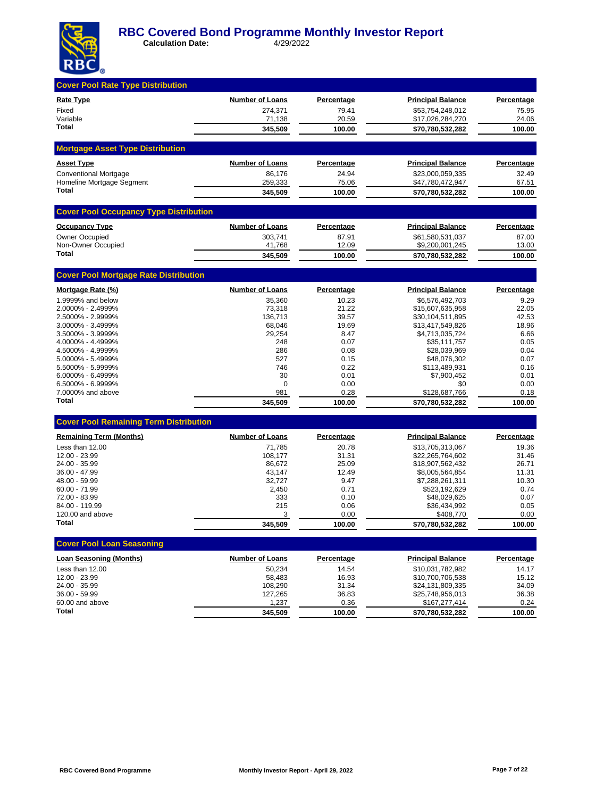

| <b>Cover Pool Rate Type Distribution</b>      |                                   |                            |                                      |                            |
|-----------------------------------------------|-----------------------------------|----------------------------|--------------------------------------|----------------------------|
|                                               |                                   |                            |                                      |                            |
| <b>Rate Type</b><br>Fixed                     | <b>Number of Loans</b><br>274.371 | <b>Percentage</b><br>79.41 | <b>Principal Balance</b>             | <b>Percentage</b><br>75.95 |
| Variable                                      | 71,138                            | 20.59                      | \$53,754,248,012<br>\$17,026,284,270 | 24.06                      |
| Total                                         | 345,509                           | 100.00                     | \$70,780,532,282                     | 100.00                     |
| <b>Mortgage Asset Type Distribution</b>       |                                   |                            |                                      |                            |
| <b>Asset Type</b>                             | Number of Loans                   | Percentage                 | <b>Principal Balance</b>             | Percentage                 |
| <b>Conventional Mortgage</b>                  | 86,176                            | 24.94                      | \$23,000,059,335                     | 32.49                      |
| Homeline Mortgage Segment                     | 259,333                           | 75.06                      | \$47,780,472,947                     | 67.51                      |
| <b>Total</b>                                  | 345,509                           | 100.00                     | \$70,780,532,282                     | 100.00                     |
| <b>Cover Pool Occupancy Type Distribution</b> |                                   |                            |                                      |                            |
| <b>Occupancy Type</b>                         | <b>Number of Loans</b>            | Percentage                 | <b>Principal Balance</b>             | <b>Percentage</b>          |
| <b>Owner Occupied</b>                         | 303,741                           | 87.91                      | \$61,580,531,037                     | 87.00                      |
| Non-Owner Occupied                            | 41,768                            | 12.09                      | \$9,200,001,245                      | 13.00                      |
| <b>Total</b>                                  | 345,509                           | 100.00                     | \$70,780,532,282                     | 100.00                     |
| <b>Cover Pool Mortgage Rate Distribution</b>  |                                   |                            |                                      |                            |
| Mortgage Rate (%)                             | <b>Number of Loans</b>            | <b>Percentage</b>          | <b>Principal Balance</b>             | Percentage                 |
| 1.9999% and below                             | 35,360                            | 10.23                      | \$6,576,492,703                      | 9.29                       |
| 2.0000% - 2.4999%                             | 73,318                            | 21.22                      | \$15,607,635,958                     | 22.05                      |
| 2.5000% - 2.9999%                             | 136,713                           | 39.57                      | \$30,104,511,895                     | 42.53                      |
| 3.0000% - 3.4999%                             | 68,046                            | 19.69                      | \$13,417,549,826                     | 18.96                      |
| 3.5000% - 3.9999%                             | 29,254                            | 8.47                       | \$4,713,035,724                      | 6.66                       |
| 4.0000% - 4.4999%                             | 248                               | 0.07                       | \$35,111,757                         | 0.05                       |
| 4.5000% - 4.9999%<br>5.0000% - 5.4999%        | 286<br>527                        | 0.08<br>0.15               | \$28,039,969<br>\$48,076,302         | 0.04<br>0.07               |
| 5.5000% - 5.9999%                             | 746                               | 0.22                       | \$113,489,931                        | 0.16                       |
| $6.0000\% - 6.4999\%$                         | 30                                | 0.01                       | \$7,900,452                          | 0.01                       |
| 6.5000% - 6.9999%                             | 0                                 | 0.00                       | \$0                                  | 0.00                       |
| 7.0000% and above                             | 981                               | 0.28                       | \$128,687,766                        | 0.18                       |
| <b>Total</b>                                  | 345,509                           | 100.00                     | \$70,780,532,282                     | 100.00                     |
| <b>Cover Pool Remaining Term Distribution</b> |                                   |                            |                                      |                            |
| <b>Remaining Term (Months)</b>                | <b>Number of Loans</b>            | Percentage                 | <b>Principal Balance</b>             | Percentage                 |
| Less than 12.00                               | 71,785                            | 20.78                      | \$13,705,313,067                     | 19.36                      |
| 12.00 - 23.99                                 | 108,177                           | 31.31                      | \$22,265,764,602                     | 31.46                      |
| 24.00 - 35.99                                 | 86,672                            | 25.09                      | \$18,907,562,432                     | 26.71                      |
| 36.00 - 47.99                                 | 43,147                            | 12.49                      | \$8,005,564,854                      | 11.31                      |
| 48.00 - 59.99                                 | 32,727                            | 9.47                       | \$7,288,261,311                      | 10.30                      |
| $60.00 - 71.99$                               | 2,450                             | 0.71                       | \$523,192,629                        | 0.74                       |
| 72.00 - 83.99                                 | 333                               | 0.10                       | \$48,029,625                         | 0.07                       |
| 84.00 - 119.99<br>120.00 and above            | 215<br>3                          | 0.06                       | \$36,434,992<br>\$408,770            | 0.05<br>0.00               |
| Total                                         | 345,509                           | 0.00<br>100.00             | \$70,780,532,282                     | 100.00                     |
| <b>Cover Pool Loan Seasoning</b>              |                                   |                            |                                      |                            |
|                                               |                                   |                            |                                      |                            |
| <b>Loan Seasoning (Months)</b>                | <b>Number of Loans</b>            | Percentage                 | <b>Principal Balance</b>             | <b>Percentage</b>          |
| Less than 12.00                               | 50,234                            | 14.54                      | \$10,031,782,982                     | 14.17                      |
| 12.00 - 23.99                                 | 58,483                            | 16.93                      | \$10,700,706,538                     | 15.12                      |
| 24.00 - 35.99<br>36.00 - 59.99                | 108,290                           | 31.34<br>36.83             | \$24,131,809,335<br>\$25,748,956,013 | 34.09<br>36.38             |
| 60.00 and above                               | 127,265<br>1,237                  | 0.36                       | \$167,277,414                        | 0.24                       |
| Total                                         | 345,509                           | 100.00                     | \$70,780,532,282                     | 100.00                     |
|                                               |                                   |                            |                                      |                            |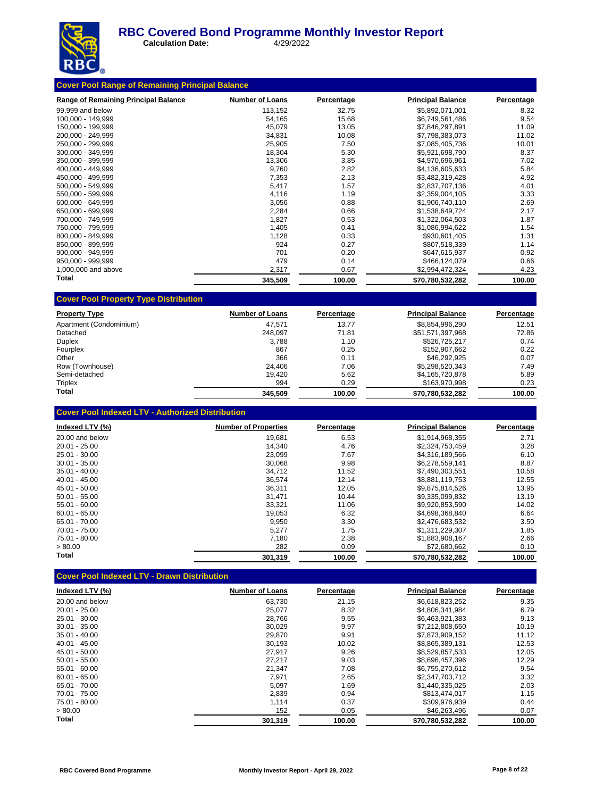

**Calculation Date:** 4/29/2022

| <b>Cover Pool Range of Remaining Principal Balance</b> |                        |            |                          |            |  |  |  |
|--------------------------------------------------------|------------------------|------------|--------------------------|------------|--|--|--|
| <b>Range of Remaining Principal Balance</b>            | <b>Number of Loans</b> | Percentage | <b>Principal Balance</b> | Percentage |  |  |  |
| 99,999 and below                                       | 113,152                | 32.75      | \$5,892,071,001          | 8.32       |  |  |  |
| 100,000 - 149,999                                      | 54,165                 | 15.68      | \$6,749,561,486          | 9.54       |  |  |  |
| 150,000 - 199,999                                      | 45,079                 | 13.05      | \$7,846,297,891          | 11.09      |  |  |  |
| 200,000 - 249,999                                      | 34,831                 | 10.08      | \$7,798,383,073          | 11.02      |  |  |  |
| 250.000 - 299.999                                      | 25,905                 | 7.50       | \$7,085,405,736          | 10.01      |  |  |  |
| 300.000 - 349.999                                      | 18,304                 | 5.30       | \$5,921,698,790          | 8.37       |  |  |  |
| 350.000 - 399.999                                      | 13,306                 | 3.85       | \$4,970,696,961          | 7.02       |  |  |  |
| 400.000 - 449.999                                      | 9,760                  | 2.82       | \$4,136,605,633          | 5.84       |  |  |  |
| 450,000 - 499,999                                      | 7,353                  | 2.13       | \$3,482,319,428          | 4.92       |  |  |  |
| 500,000 - 549,999                                      | 5,417                  | 1.57       | \$2,837,707,136          | 4.01       |  |  |  |
| 550.000 - 599.999                                      | 4,116                  | 1.19       | \$2,359,004,105          | 3.33       |  |  |  |
| 600,000 - 649,999                                      | 3,056                  | 0.88       | \$1,906,740,110          | 2.69       |  |  |  |
| 650,000 - 699,999                                      | 2,284                  | 0.66       | \$1,538,649,724          | 2.17       |  |  |  |
| 700,000 - 749,999                                      | 1,827                  | 0.53       | \$1,322,064,503          | 1.87       |  |  |  |
| 750,000 - 799,999                                      | 1,405                  | 0.41       | \$1,086,994,622          | 1.54       |  |  |  |
| 800.000 - 849.999                                      | 1,128                  | 0.33       | \$930,601,405            | 1.31       |  |  |  |
| 850.000 - 899.999                                      | 924                    | 0.27       | \$807,518,339            | 1.14       |  |  |  |
| 900.000 - 949.999                                      | 701                    | 0.20       | \$647,615,937            | 0.92       |  |  |  |
| 950,000 - 999,999                                      | 479                    | 0.14       | \$466,124,079            | 0.66       |  |  |  |
| 1,000,000 and above                                    | 2,317                  | 0.67       | \$2,994,472,324          | 4.23       |  |  |  |
| Total                                                  | 345,509                | 100.00     | \$70,780,532,282         | 100.00     |  |  |  |

| <b>Property Type</b>    | <b>Number of Loans</b> | Percentage | <b>Principal Balance</b> | Percentage |
|-------------------------|------------------------|------------|--------------------------|------------|
| Apartment (Condominium) | 47.571                 | 13.77      | \$8.854.996.290          | 12.51      |
| Detached                | 248.097                | 71.81      | \$51,571,397,968         | 72.86      |
| <b>Duplex</b>           | 3.788                  | 1.10       | \$526,725,217            | 0.74       |
| Fourplex                | 867                    | 0.25       | \$152,907,662            | 0.22       |
| Other                   | 366                    | 0.11       | \$46,292,925             | 0.07       |
| Row (Townhouse)         | 24.406                 | 7.06       | \$5,298,520,343          | 7.49       |
| Semi-detached           | 19.420                 | 5.62       | \$4,165,720,878          | 5.89       |
| Triplex                 | 994                    | 0.29       | \$163,970,998            | 0.23       |
| Total                   | 345.509                | 100.00     | \$70.780.532.282         | 100.00     |

|  | <b>Cover Pool Indexed LTV - Authorized Distribution</b> |
|--|---------------------------------------------------------|
|--|---------------------------------------------------------|

**Cover Pool Property Type Distribution**

| Indexed LTV (%) | <b>Number of Properties</b> | Percentage | <b>Principal Balance</b> | Percentage |
|-----------------|-----------------------------|------------|--------------------------|------------|
| 20.00 and below | 19,681                      | 6.53       | \$1.914.968.355          | 2.71       |
| $20.01 - 25.00$ | 14.340                      | 4.76       | \$2.324.753.459          | 3.28       |
| 25.01 - 30.00   | 23,099                      | 7.67       | \$4.316.189.566          | 6.10       |
| $30.01 - 35.00$ | 30.068                      | 9.98       | \$6,278,559,141          | 8.87       |
| $35.01 - 40.00$ | 34,712                      | 11.52      | \$7,490,303,551          | 10.58      |
| $40.01 - 45.00$ | 36.574                      | 12.14      | \$8.881.119.753          | 12.55      |
| 45.01 - 50.00   | 36,311                      | 12.05      | \$9.875.814.526          | 13.95      |
| $50.01 - 55.00$ | 31,471                      | 10.44      | \$9,335,099,832          | 13.19      |
| $55.01 - 60.00$ | 33.321                      | 11.06      | \$9.920.853.590          | 14.02      |
| $60.01 - 65.00$ | 19,053                      | 6.32       | \$4.698.368.840          | 6.64       |
| 65.01 - 70.00   | 9,950                       | 3.30       | \$2,476,683,532          | 3.50       |
| $70.01 - 75.00$ | 5,277                       | 1.75       | \$1.311.229.307          | 1.85       |
| 75.01 - 80.00   | 7.180                       | 2.38       | \$1,883,908,167          | 2.66       |
| > 80.00         | 282                         | 0.09       | \$72,680,662             | 0.10       |
| Total           | 301,319                     | 100.00     | \$70,780,532,282         | 100.00     |

### **Cover Pool Indexed LTV - Drawn Distribution**

| Indexed LTV (%) | <b>Number of Loans</b> | Percentage | <b>Principal Balance</b> | Percentage |
|-----------------|------------------------|------------|--------------------------|------------|
| 20.00 and below | 63.730                 | 21.15      | \$6,618,823,252          | 9.35       |
| $20.01 - 25.00$ | 25,077                 | 8.32       | \$4.806.341.984          | 6.79       |
| 25.01 - 30.00   | 28,766                 | 9.55       | \$6,463,921,383          | 9.13       |
| $30.01 - 35.00$ | 30.029                 | 9.97       | \$7.212.808.650          | 10.19      |
| $35.01 - 40.00$ | 29,870                 | 9.91       | \$7,873,909,152          | 11.12      |
| $40.01 - 45.00$ | 30.193                 | 10.02      | \$8.865.389.131          | 12.53      |
| 45.01 - 50.00   | 27.917                 | 9.26       | \$8.529.857.533          | 12.05      |
| $50.01 - 55.00$ | 27,217                 | 9.03       | \$8,696,457,396          | 12.29      |
| $55.01 - 60.00$ | 21,347                 | 7.08       | \$6,755,270,612          | 9.54       |
| $60.01 - 65.00$ | 7.971                  | 2.65       | \$2,347,703,712          | 3.32       |
| 65.01 - 70.00   | 5.097                  | 1.69       | \$1.440.335.025          | 2.03       |
| 70.01 - 75.00   | 2,839                  | 0.94       | \$813,474,017            | 1.15       |
| 75.01 - 80.00   | 1.114                  | 0.37       | \$309,976,939            | 0.44       |
| > 80.00         | 152                    | 0.05       | \$46,263,496             | 0.07       |
| Total           | 301.319                | 100.00     | \$70.780.532.282         | 100.00     |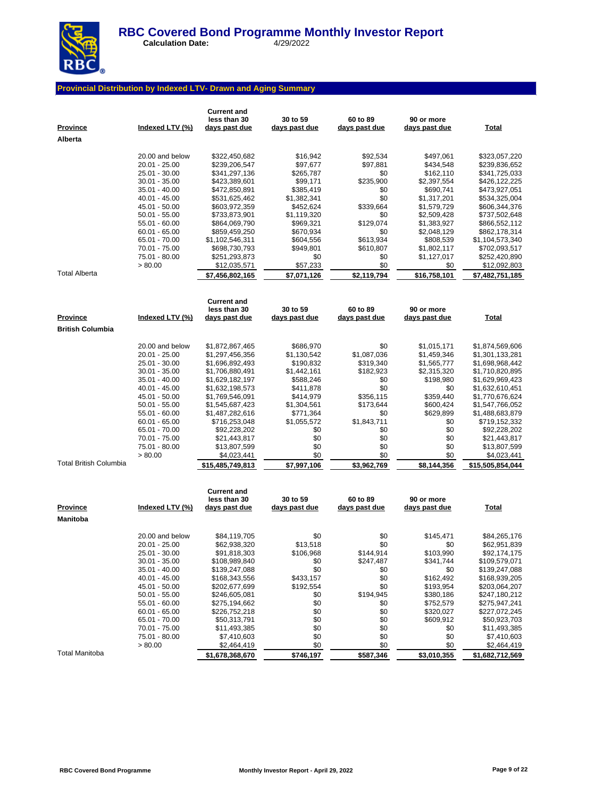

**Calculation Date:** 4/29/2022

### **Provincial Distribution by Indexed LTV- Drawn and Aging Summary**

| <b>Province</b><br>Alberta | Indexed LTV (%)                  | <b>Current and</b><br>less than 30<br><u>days past due</u> | 30 to 59<br>days past due | 60 to 89<br>days past due | 90 or more<br>days past due | <b>Total</b>                    |
|----------------------------|----------------------------------|------------------------------------------------------------|---------------------------|---------------------------|-----------------------------|---------------------------------|
|                            |                                  |                                                            |                           |                           |                             |                                 |
|                            | 20.00 and below<br>20.01 - 25.00 | \$322,450,682                                              | \$16,942                  | \$92,534                  | \$497,061                   | \$323,057,220<br>\$239,836,652  |
|                            | 25.01 - 30.00                    | \$239,206,547<br>\$341,297,136                             | \$97,677<br>\$265,787     | \$97,881<br>\$0           | \$434,548<br>\$162,110      | \$341,725,033                   |
|                            | $30.01 - 35.00$                  | \$423,389,601                                              | \$99,171                  | \$235,900                 | \$2,397,554                 | \$426,122,225                   |
|                            | $35.01 - 40.00$                  | \$472,850,891                                              | \$385,419                 | \$0                       | \$690,741                   | \$473,927,051                   |
|                            | 40.01 - 45.00                    | \$531,625,462                                              | \$1,382,341               | \$0                       | \$1,317,201                 | \$534,325,004                   |
|                            | 45.01 - 50.00                    | \$603,972,359                                              | \$452,624                 | \$339,664                 | \$1,579,729                 | \$606,344,376                   |
|                            | $50.01 - 55.00$                  | \$733,873,901                                              | \$1,119,320               | \$0                       | \$2,509,428                 | \$737,502,648                   |
|                            | 55.01 - 60.00                    | \$864,069,790                                              | \$969,321                 | \$129,074                 | \$1,383,927                 | \$866,552,112                   |
|                            | $60.01 - 65.00$                  | \$859,459,250                                              | \$670,934                 | \$0                       | \$2,048,129                 | \$862,178,314                   |
|                            | 65.01 - 70.00                    | \$1,102,546,311                                            | \$604,556                 | \$613,934                 | \$808,539                   | \$1,104,573,340                 |
|                            | 70.01 - 75.00                    | \$698,730,793                                              | \$949,801                 | \$610,807                 | \$1,802,117                 | \$702,093,517                   |
|                            | 75.01 - 80.00<br>> 80.00         | \$251,293,873                                              | \$0<br>\$57,233           | \$0<br>\$0                | \$1,127,017<br>\$0          | \$252,420,890                   |
| <b>Total Alberta</b>       |                                  | \$12,035,571<br>\$7,456,802,165                            | \$7,071,126               | \$2,119,794               | \$16,758,101                | \$12,092,803<br>\$7,482,751,185 |
|                            |                                  |                                                            |                           |                           |                             |                                 |
|                            |                                  | <b>Current and</b>                                         |                           |                           |                             |                                 |
|                            |                                  | less than 30                                               | 30 to 59                  | 60 to 89                  | 90 or more                  |                                 |
| Province                   | Indexed LTV (%)                  | days past due                                              | days past due             | days past due             | days past due               | Total                           |
| <b>British Columbia</b>    |                                  |                                                            |                           |                           |                             |                                 |
|                            | 20.00 and below                  | \$1,872,867,465                                            | \$686,970                 | \$0                       | \$1,015,171                 | \$1,874,569,606                 |
|                            | 20.01 - 25.00                    | \$1,297,456,356                                            | \$1,130,542               | \$1,087,036               | \$1,459,346                 | \$1,301,133,281                 |
|                            | 25.01 - 30.00                    | \$1,696,892,493                                            | \$190,832                 | \$319,340                 | \$1,565,777                 | \$1,698,968,442                 |
|                            | $30.01 - 35.00$                  | \$1,706,880,491                                            | \$1,442,161               | \$182,923                 | \$2,315,320                 | \$1,710,820,895                 |
|                            | $35.01 - 40.00$                  | \$1,629,182,197                                            | \$588,246                 | \$0                       | \$198,980                   | \$1,629,969,423                 |
|                            | 40.01 - 45.00                    | \$1,632,198,573                                            | \$411,878                 | \$0                       | \$0                         | \$1,632,610,451                 |
|                            | 45.01 - 50.00                    | \$1,769,546,091                                            | \$414,979                 | \$356,115                 | \$359,440                   | \$1,770,676,624                 |
|                            | $50.01 - 55.00$                  | \$1,545,687,423                                            | \$1,304,561               | \$173,644                 | \$600,424                   | \$1,547,766,052                 |
|                            | 55.01 - 60.00<br>$60.01 - 65.00$ | \$1,487,282,616                                            | \$771,364<br>\$1,055,572  | \$0<br>\$1,843,711        | \$629,899<br>\$0            | \$1,488,683,879                 |
|                            | 65.01 - 70.00                    | \$716,253,048<br>\$92,228,202                              | \$0                       | \$0                       | \$0                         | \$719,152,332<br>\$92,228,202   |
|                            | 70.01 - 75.00                    | \$21,443,817                                               | \$0                       | \$0                       | \$0                         | \$21,443,817                    |
|                            | 75.01 - 80.00                    | \$13,807,599                                               | \$0                       | \$0                       | \$0                         | \$13,807,599                    |
|                            | > 80.00                          | \$4,023,441                                                | \$0                       | \$0                       | \$0                         | \$4,023,441                     |
| Total British Columbia     |                                  | \$15,485,749,813                                           | \$7,997,106               | \$3,962,769               | \$8,144,356                 | \$15,505,854,044                |
|                            |                                  |                                                            |                           |                           |                             |                                 |
|                            |                                  | <b>Current and</b>                                         |                           |                           |                             |                                 |
| <u>Province</u>            | Indexed LTV (%)                  | less than 30<br><u>days past due</u>                       | 30 to 59<br>days past due | 60 to 89<br>days past due | 90 or more<br>days past due | <u>Total</u>                    |
| Manitoba                   |                                  |                                                            |                           |                           |                             |                                 |
|                            |                                  |                                                            |                           |                           |                             |                                 |
|                            | 20.00 and below                  | \$84,119,705                                               | \$0                       | \$0                       | \$145,471                   | \$84,265,176                    |
|                            | 20.01 - 25.00                    | \$62,938,320                                               | \$13,518                  | \$0                       | \$0                         | \$62,951,839                    |
|                            | 25.01 - 30.00                    | \$91,818,303                                               | \$106,968                 | \$144,914                 | \$103,990                   | \$92,174,175                    |
|                            | $30.01 - 35.00$                  | \$108,989,840                                              | \$0<br>\$0                | \$247,487                 | \$341,744                   | \$109,579,071                   |
|                            | $35.01 - 40.00$<br>40.01 - 45.00 | \$139,247,088<br>\$168,343,556                             | \$433,157                 | \$0<br>\$0                | \$0<br>\$162,492            | \$139,247,088<br>\$168,939,205  |
|                            | 45.01 - 50.00                    | \$202,677,699                                              | \$192,554                 | \$0                       | \$193,954                   | \$203,064,207                   |
|                            | $50.01 - 55.00$                  | \$246,605,081                                              | \$0                       | \$194,945                 | \$380,186                   | \$247,180,212                   |
|                            | 55.01 - 60.00                    | \$275,194,662                                              | \$0                       | \$0                       | \$752,579                   | \$275,947,241                   |
|                            | $60.01 - 65.00$                  | \$226,752,218                                              | \$0                       | \$0                       | \$320,027                   | \$227,072,245                   |
|                            | 65.01 - 70.00                    | \$50,313,791                                               | \$0                       | \$0                       | \$609,912                   | \$50,923,703                    |
|                            | 70.01 - 75.00                    | \$11,493,385                                               | \$0                       | \$0                       | \$0                         | \$11,493,385                    |
|                            | 75.01 - 80.00                    | \$7,410,603                                                | \$0                       | \$0                       | \$0                         | \$7,410,603                     |
| Total Manitoba             | > 80.00                          | \$2,464,419                                                | \$0                       | \$0                       | \$0                         | \$2,464,419                     |
|                            |                                  | \$1,678,368,670                                            | \$746,197                 | \$587,346                 | \$3,010,355                 | \$1,682,712,569                 |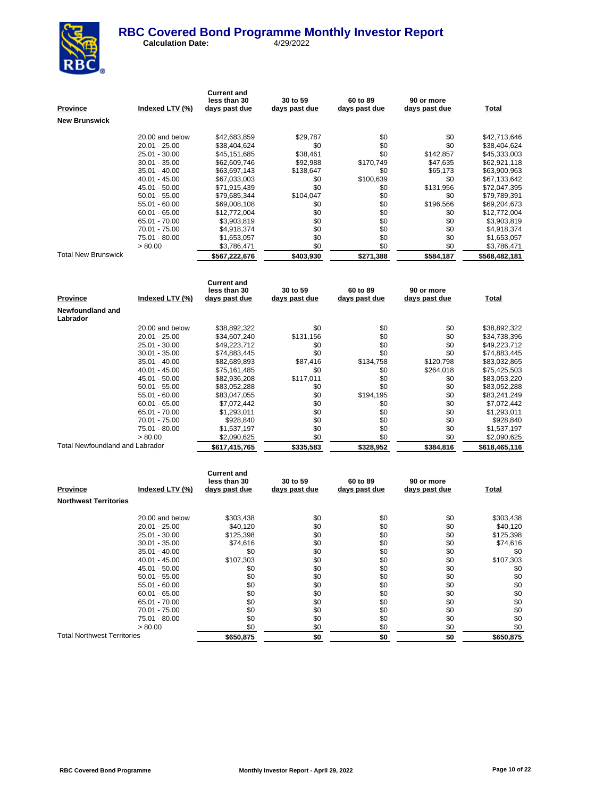

| Province                        | Indexed LTV (%) | <b>Current and</b><br>less than 30<br>days past due | 30 to 59<br>days past due | 60 to 89<br>days past due | 90 or more<br>days past due | Total         |
|---------------------------------|-----------------|-----------------------------------------------------|---------------------------|---------------------------|-----------------------------|---------------|
| New Brunswick                   |                 |                                                     |                           |                           |                             |               |
|                                 | 20.00 and below | \$42,683,859                                        | \$29,787                  | \$0                       | \$0                         | \$42,713,646  |
|                                 | 20.01 - 25.00   | \$38,404,624                                        | \$0                       | \$0                       | \$0                         | \$38,404,624  |
|                                 | 25.01 - 30.00   | \$45,151,685                                        | \$38,461                  | \$0                       | \$142,857                   | \$45,333,003  |
|                                 | $30.01 - 35.00$ | \$62,609,746                                        | \$92,988                  | \$170,749                 | \$47,635                    | \$62,921,118  |
|                                 | 35.01 - 40.00   | \$63,697,143                                        | \$138,647                 | \$0                       | \$65,173                    | \$63,900,963  |
|                                 | 40.01 - 45.00   | \$67,033,003                                        | \$0                       | \$100,639                 | \$0                         | \$67,133,642  |
|                                 | 45.01 - 50.00   | \$71,915,439                                        | \$0                       | \$0                       | \$131,956                   | \$72,047,395  |
|                                 | $50.01 - 55.00$ | \$79,685,344                                        | \$104,047                 | \$0                       | \$0                         | \$79,789,391  |
|                                 | 55.01 - 60.00   | \$69,008,108                                        | \$0                       | \$0                       | \$196,566                   | \$69,204,673  |
|                                 | $60.01 - 65.00$ | \$12,772,004                                        | \$0                       | \$0                       | \$0                         | \$12,772,004  |
|                                 | 65.01 - 70.00   | \$3,903,819                                         | \$0                       | \$0                       | \$0                         | \$3,903,819   |
|                                 | 70.01 - 75.00   | \$4,918,374                                         | \$0                       | \$0                       | \$0                         | \$4,918,374   |
|                                 | 75.01 - 80.00   | \$1,653,057                                         | \$0                       | \$0                       | \$0                         | \$1,653,057   |
|                                 | > 80.00         | \$3,786,471                                         | \$0                       | \$0                       | \$0                         | \$3,786,471   |
| <b>Total New Brunswick</b>      |                 | \$567,222,676                                       | \$403,930                 | \$271,388                 | \$584,187                   | \$568,482,181 |
| Province                        | Indexed LTV (%) | <b>Current and</b><br>less than 30<br>days past due | 30 to 59<br>days past due | 60 to 89<br>days past due | 90 or more<br>days past due | <b>Total</b>  |
| Newfoundland and<br>Labrador    |                 |                                                     |                           |                           |                             |               |
|                                 | 20.00 and below | \$38,892,322                                        | \$0                       | \$0                       | \$0                         | \$38,892,322  |
|                                 | 20.01 - 25.00   | \$34,607,240                                        | \$131,156                 | \$0                       | \$0                         | \$34,738,396  |
|                                 | 25.01 - 30.00   | \$49,223,712                                        | \$0                       | \$0                       | \$0                         | \$49,223,712  |
|                                 | $30.01 - 35.00$ | \$74,883,445                                        | \$0                       | \$0                       | \$0                         | \$74,883,445  |
|                                 | 35.01 - 40.00   | \$82,689,893                                        | \$87,416                  | \$134,758                 | \$120,798                   | \$83,032,865  |
|                                 | 40.01 - 45.00   | \$75,161,485                                        | \$0                       | \$0                       | \$264,018                   | \$75,425,503  |
|                                 | 45.01 - 50.00   | \$82,936,208                                        | \$117,011                 | \$0                       | \$0                         | \$83,053,220  |
|                                 | 50.01 - 55.00   | \$83,052,288                                        | \$0                       | \$0                       | \$0                         | \$83,052,288  |
|                                 | 55.01 - 60.00   | \$83,047,055                                        | \$0                       | \$194,195                 | \$0                         | \$83,241,249  |
|                                 | $60.01 - 65.00$ | \$7,072,442                                         | \$0                       | \$0                       | \$0                         | \$7,072,442   |
|                                 | 65.01 - 70.00   | \$1,293,011                                         | \$0                       | \$0                       | \$0                         | \$1,293,011   |
|                                 | 70.01 - 75.00   | \$928,840                                           | \$0                       | \$0                       | \$0                         | \$928,840     |
|                                 | 75.01 - 80.00   | \$1,537,197                                         | \$0                       | \$0                       | \$0                         | \$1,537,197   |
|                                 | > 80.00         | \$2,090,625                                         | \$0                       | \$0                       | \$0                         | \$2,090,625   |
| Total Newfoundland and Labrador |                 | \$617,415,765                                       | \$335,583                 | \$328,952                 | \$384,816                   | \$618,465,116 |
|                                 |                 | <b>Current and</b>                                  |                           |                           |                             |               |

| <b>Province</b>                    | Indexed LTV (%) | less than 30<br>days past due | 30 to 59<br>days past due | 60 to 89<br>days past due | 90 or more<br>days past due | <b>Total</b> |
|------------------------------------|-----------------|-------------------------------|---------------------------|---------------------------|-----------------------------|--------------|
| <b>Northwest Territories</b>       |                 |                               |                           |                           |                             |              |
|                                    | 20.00 and below | \$303,438                     | \$0                       | \$0                       | \$0                         | \$303,438    |
|                                    | $20.01 - 25.00$ | \$40,120                      | \$0                       | \$0                       | \$0                         | \$40,120     |
|                                    | 25.01 - 30.00   | \$125,398                     | \$0                       | \$0                       | \$0                         | \$125,398    |
|                                    | $30.01 - 35.00$ | \$74.616                      | \$0                       | \$0                       | \$0                         | \$74,616     |
|                                    | $35.01 - 40.00$ | \$0                           | \$0                       | \$0                       | \$0                         | \$0          |
|                                    | $40.01 - 45.00$ | \$107,303                     | \$0                       | \$0                       | \$0                         | \$107,303    |
|                                    | 45.01 - 50.00   | \$0                           | \$0                       | \$0                       | \$0                         | \$0          |
|                                    | $50.01 - 55.00$ | \$0                           | \$0                       | \$0                       | \$0                         | \$0          |
|                                    | $55.01 - 60.00$ | \$0                           | \$0                       | \$0                       | \$0                         | \$0          |
|                                    | $60.01 - 65.00$ | \$0                           | \$0                       | \$0                       | \$0                         | \$0          |
|                                    | 65.01 - 70.00   | \$0                           | \$0                       | \$0                       | \$0                         | \$0          |
|                                    | 70.01 - 75.00   | \$0                           | \$0                       | \$0                       | \$0                         | \$0          |
|                                    | 75.01 - 80.00   | \$0                           | \$0                       | \$0                       | \$0                         | \$0          |
|                                    | > 80.00         | \$0                           | \$0                       | \$0                       | \$0                         | \$0          |
| <b>Total Northwest Territories</b> |                 | \$650,875                     | \$0                       | \$0                       | \$0                         | \$650,875    |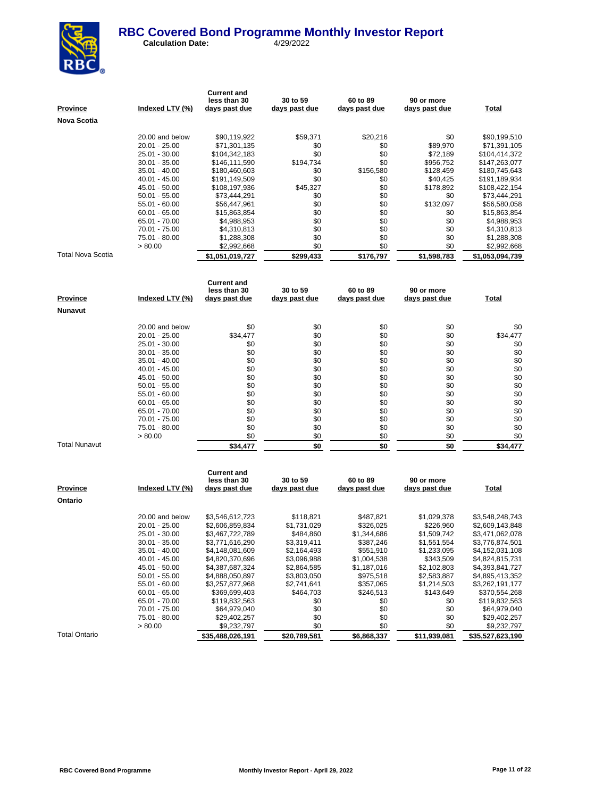

**Calculation Date:** 4/29/2022

| <u>Province</u>          | Indexed LTV (%)                  | <b>Current and</b><br>less than 30<br>days past due | 30 to 59<br>days past due | 60 to 89<br>days past due | 90 or more<br>days past due | <b>Total</b>                   |
|--------------------------|----------------------------------|-----------------------------------------------------|---------------------------|---------------------------|-----------------------------|--------------------------------|
| Nova Scotia              |                                  |                                                     |                           |                           |                             |                                |
|                          |                                  |                                                     |                           |                           |                             |                                |
|                          | 20.00 and below                  | \$90,119,922                                        | \$59,371                  | \$20,216                  | \$0                         | \$90,199,510                   |
|                          | 20.01 - 25.00                    | \$71,301,135                                        | \$0                       | \$0                       | \$89,970                    | \$71,391,105                   |
|                          | 25.01 - 30.00                    | \$104,342,183                                       | \$0                       | \$0<br>\$0                | \$72,189                    | \$104,414,372                  |
|                          | 30.01 - 35.00                    | \$146,111,590                                       | \$194,734<br>\$0          | \$156,580                 | \$956,752                   | \$147,263,077                  |
|                          | 35.01 - 40.00<br>40.01 - 45.00   | \$180,460,603<br>\$191,149,509                      | \$0                       | \$0                       | \$128,459<br>\$40,425       | \$180,745,643<br>\$191,189,934 |
|                          | 45.01 - 50.00                    | \$108,197,936                                       | \$45,327                  | \$0                       | \$178,892                   | \$108,422,154                  |
|                          | $50.01 - 55.00$                  | \$73,444,291                                        | \$0                       | \$0                       | \$0                         | \$73,444,291                   |
|                          | 55.01 - 60.00                    | \$56,447,961                                        | \$0                       | \$0                       | \$132,097                   | \$56,580,058                   |
|                          | $60.01 - 65.00$                  | \$15,863,854                                        | \$0                       | \$0                       | \$0                         | \$15,863,854                   |
|                          | 65.01 - 70.00                    | \$4,988,953                                         | \$0                       | \$0                       | \$0                         | \$4,988,953                    |
|                          | 70.01 - 75.00                    | \$4,310,813                                         | \$0                       | \$0                       | \$0                         | \$4,310,813                    |
|                          | 75.01 - 80.00                    | \$1,288,308                                         | \$0                       | \$0                       | \$0                         | \$1,288,308                    |
|                          | > 80.00                          | \$2,992,668                                         | \$0                       | \$0                       | \$0                         | \$2,992,668                    |
| <b>Total Nova Scotia</b> |                                  | \$1,051,019,727                                     | \$299,433                 | \$176,797                 | \$1,598,783                 | \$1,053,094,739                |
|                          |                                  |                                                     |                           |                           |                             |                                |
|                          |                                  | <b>Current and</b><br>less than 30                  | 30 to 59                  | 60 to 89                  | 90 or more                  |                                |
| Province                 | Indexed LTV (%)                  | <u>days past due</u>                                | days past due             | days past due             | days past due               | <b>Total</b>                   |
| Nunavut                  |                                  |                                                     |                           |                           |                             |                                |
|                          |                                  |                                                     |                           |                           |                             |                                |
|                          | 20.00 and below<br>20.01 - 25.00 | \$0<br>\$34,477                                     | \$0<br>\$0                | \$0<br>\$0                | \$0<br>\$0                  | \$0<br>\$34,477                |
|                          | 25.01 - 30.00                    | \$0                                                 | \$0                       | \$0                       | \$0                         | \$0                            |
|                          | $30.01 - 35.00$                  | \$0                                                 | \$0                       | \$0                       | \$0                         | \$0                            |
|                          | 35.01 - 40.00                    | \$0                                                 | \$0                       | \$0                       | \$0                         | \$0                            |
|                          | 40.01 - 45.00                    | \$0                                                 | \$0                       | \$0                       | \$0                         | \$0                            |
|                          | 45.01 - 50.00                    | \$0                                                 | \$0                       | \$0                       | \$0                         | \$0                            |
|                          | $50.01 - 55.00$                  | \$0                                                 | \$0                       | \$0                       | \$0                         | \$0                            |
|                          | 55.01 - 60.00                    | \$0                                                 | \$0                       | \$0                       | \$0                         | \$0                            |
|                          | $60.01 - 65.00$                  | \$0                                                 | \$0                       | \$0                       | \$0                         | \$0                            |
|                          | 65.01 - 70.00                    | \$0                                                 | \$0                       | \$0                       | \$0                         | \$0                            |
|                          | 70.01 - 75.00                    | \$0                                                 | \$0                       | \$0                       | \$0                         | \$0                            |
|                          | 75.01 - 80.00                    | \$0                                                 | \$0                       | \$0                       | \$0                         | \$0                            |
| <b>Total Nunavut</b>     | > 80.00                          | \$0                                                 | \$0                       | \$0                       | \$0                         | \$0                            |
|                          |                                  | \$34,477                                            | \$0                       | \$0                       | \$0                         | \$34,477                       |
|                          |                                  |                                                     |                           |                           |                             |                                |
|                          |                                  | <b>Current and</b><br>less than 30                  | 30 to 59                  | 60 to 89                  | 90 or more                  |                                |
| <u>Province</u>          | Indexed LTV (%)                  | days past due                                       | days past due             | days past due             | days past due               | Total                          |
| Ontario                  |                                  |                                                     |                           |                           |                             |                                |
|                          | 20.00 and below                  | \$3,546,612,723                                     | \$118,821                 | \$487,821                 | \$1,029,378                 | \$3,548,248,743                |
|                          | 20.01 - 25.00                    | \$2,606,859,834                                     | \$1,731,029               | \$326,025                 | \$226,960                   | \$2,609,143,848                |
|                          | 25.01 - 30.00                    | \$3,467,722,789                                     | \$484,860                 | \$1,344,686               | \$1,509,742                 | \$3,471,062,078                |
|                          | $30.01 - 35.00$                  | \$3,771,616,290                                     | \$3,319,411               | \$387,246                 | \$1,551,554                 | \$3,776,874,501                |
|                          | 35.01 - 40.00                    | \$4,148,081,609                                     | \$2,164,493               | \$551,910                 | \$1,233,095                 | \$4,152,031,108                |
|                          | 40.01 - 45.00                    | \$4,820,370,696                                     | \$3,096,988               | \$1,004,538               | \$343,509                   | \$4,824,815,731                |
|                          | 45.01 - 50.00                    | \$4,387,687,324                                     | \$2,864,585               | \$1,187,016               | \$2,102,803                 | \$4,393,841,727                |
|                          | $50.01 - 55.00$                  | \$4,888,050,897                                     | \$3,803,050               | \$975,518                 | \$2,583,887                 | \$4,895,413,352                |
|                          | 55.01 - 60.00                    | \$3,257,877,968                                     | \$2,741,641               | \$357,065                 | \$1,214,503                 | \$3,262,191,177                |
|                          | $60.01 - 65.00$                  | \$369,699,403                                       | \$464,703                 | \$246,513                 | \$143,649                   | \$370,554,268                  |
|                          | 65.01 - 70.00                    | \$119,832,563                                       | \$0                       | \$0                       | \$0<br>\$0                  | \$119,832,563                  |
|                          | 70.01 - 75.00                    | \$64,979,040                                        | \$0                       | \$0                       |                             | \$64,979,040                   |

Total Ontario **826,488,026,191 \$20,789,581 \$6,868,337 \$11,939,081 \$35,527,623,190** 

75.01 - 80.00 \$29,402,257 \$0 \$0 \$0 \$0 \$29,402,257  $> 80.00$   $\frac{$9,232,797}{0}$   $\frac{50}{0}$   $\frac{50}{0}$   $\frac{50}{0}$   $\frac{50}{0}$   $\frac{50}{0}$   $\frac{59,232,797}{0}$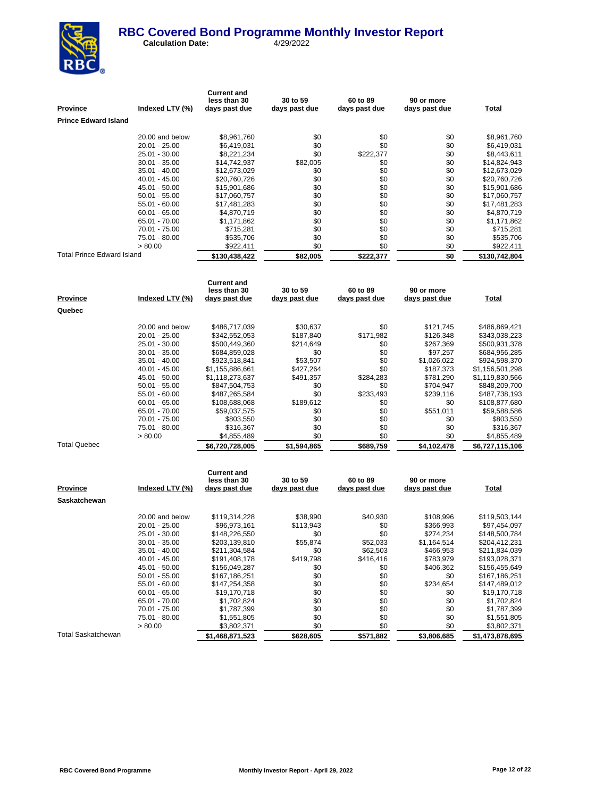

**Calculation Date:** 4/29/2022

| <u>Province</u>             | Indexed LTV (%)                | <b>Current and</b><br>less than 30<br><u>days past due</u> | 30 to 59<br>days past due | 60 to 89<br>days past due | 90 or more<br>days past due | <b>Total</b>                   |
|-----------------------------|--------------------------------|------------------------------------------------------------|---------------------------|---------------------------|-----------------------------|--------------------------------|
| <b>Prince Edward Island</b> |                                |                                                            |                           |                           |                             |                                |
|                             |                                |                                                            |                           |                           |                             |                                |
|                             | 20.00 and below                | \$8,961,760                                                | \$0                       | \$0                       | \$0                         | \$8,961,760                    |
|                             | 20.01 - 25.00                  | \$6,419,031                                                | \$0                       | \$0                       | \$0                         | \$6,419,031                    |
|                             | 25.01 - 30.00                  | \$8,221,234                                                | \$0                       | \$222,377                 | \$0                         | \$8,443,611                    |
|                             | 30.01 - 35.00                  | \$14,742,937                                               | \$82,005                  | \$0                       | \$0                         | \$14,824,943                   |
|                             | 35.01 - 40.00                  | \$12,673,029                                               | \$0                       | \$0                       | \$0                         | \$12,673,029                   |
|                             | 40.01 - 45.00                  | \$20,760,726                                               | \$0                       | \$0                       | \$0                         | \$20,760,726                   |
|                             | 45.01 - 50.00                  | \$15,901,686                                               | \$0<br>\$0                | \$0                       | \$0<br>\$0                  | \$15,901,686                   |
|                             | 50.01 - 55.00<br>55.01 - 60.00 | \$17,060,757<br>\$17,481,283                               | \$0                       | \$0<br>\$0                | \$0                         | \$17,060,757                   |
|                             | $60.01 - 65.00$                | \$4,870,719                                                | \$0                       | \$0                       | \$0                         | \$17,481,283<br>\$4,870,719    |
|                             | 65.01 - 70.00                  | \$1,171,862                                                | \$0                       | \$0                       | \$0                         | \$1,171,862                    |
|                             | 70.01 - 75.00                  | \$715,281                                                  | \$0                       | \$0                       | \$0                         | \$715,281                      |
|                             | 75.01 - 80.00                  | \$535,706                                                  | \$0                       | \$0                       | \$0                         | \$535,706                      |
|                             | > 80.00                        | \$922,411                                                  | \$0                       | \$0                       | \$0                         | \$922,411                      |
| Total Prince Edward Island  |                                | \$130,438,422                                              | \$82,005                  | \$222,377                 | \$0                         | \$130,742,804                  |
|                             |                                |                                                            |                           |                           |                             |                                |
|                             |                                | <b>Current and</b>                                         |                           |                           |                             |                                |
|                             |                                | less than 30                                               | 30 to 59                  | 60 to 89                  | 90 or more                  |                                |
| Province                    | Indexed LTV (%)                | days past due                                              | days past due             | days past due             | days past due               | <b>Total</b>                   |
| Quebec                      |                                |                                                            |                           |                           |                             |                                |
|                             | 20.00 and below                | \$486,717,039                                              | \$30,637                  | \$0                       | \$121,745                   | \$486,869,421                  |
|                             | 20.01 - 25.00                  | \$342,552,053                                              | \$187,840                 | \$171,982                 | \$126,348                   | \$343,038,223                  |
|                             | 25.01 - 30.00                  | \$500,449,360                                              | \$214,649                 | \$0                       | \$267,369                   | \$500,931,378                  |
|                             | 30.01 - 35.00                  | \$684,859,028                                              | \$0                       | \$0                       | \$97,257                    | \$684,956,285                  |
|                             | 35.01 - 40.00                  | \$923,518,841                                              | \$53,507                  | \$0                       | \$1,026,022                 | \$924,598,370                  |
|                             | 40.01 - 45.00                  | \$1,155,886,661                                            | \$427,264                 | \$0                       | \$187,373                   | \$1,156,501,298                |
|                             | 45.01 - 50.00                  | \$1,118,273,637                                            | \$491,357                 | \$284,283                 | \$781,290                   | \$1,119,830,566                |
|                             | $50.01 - 55.00$                | \$847,504,753                                              | \$0                       | \$0                       | \$704,947                   | \$848,209,700                  |
|                             | 55.01 - 60.00                  | \$487,265,584                                              | \$0                       | \$233,493                 | \$239,116                   | \$487,738,193                  |
|                             | $60.01 - 65.00$                | \$108,688,068                                              | \$189,612                 | \$0                       | \$0                         | \$108,877,680                  |
|                             | 65.01 - 70.00                  | \$59,037,575                                               | \$0                       | \$0                       | \$551,011                   | \$59,588,586                   |
|                             | 70.01 - 75.00                  | \$803,550                                                  | \$0                       | \$0                       | \$0                         | \$803,550                      |
|                             | 75.01 - 80.00                  | \$316,367                                                  | \$0                       | \$0                       | \$0                         | \$316,367                      |
| <b>Total Quebec</b>         | > 80.00                        | \$4,855,489                                                | \$0                       | \$0                       | \$0                         | \$4,855,489                    |
|                             |                                | \$6,720,728,005                                            | \$1,594,865               | \$689,759                 | \$4,102,478                 | \$6,727,115,106                |
|                             |                                |                                                            |                           |                           |                             |                                |
|                             |                                | <b>Current and</b><br>less than 30                         | 30 to 59                  | 60 to 89                  | 90 or more                  |                                |
| Province                    | Indexed LTV (%)                | <u>days past due</u>                                       | <u>days past due</u>      | days past due             | days past due               | <b>Total</b>                   |
| Saskatchewan                |                                |                                                            |                           |                           |                             |                                |
|                             |                                |                                                            |                           |                           |                             |                                |
|                             | 20.00 and below                | \$119,314,228                                              | \$38,990                  | \$40,930                  | \$108,996                   | \$119,503,144                  |
|                             | 20.01 - 25.00                  | \$96,973,161                                               | \$113,943                 | \$0                       | \$366,993                   | \$97,454,097                   |
|                             | 25.01 - 30.00                  | \$148,226,550                                              | \$0                       | \$0                       | \$274,234                   | \$148,500,784                  |
|                             | 30.01 - 35.00                  | \$203,139,810                                              | \$55,874                  | \$52,033                  | \$1,164,514                 | \$204,412,231                  |
|                             | 35.01 - 40.00<br>40.01 - 45.00 | \$211,304,584                                              | \$0<br>\$419,798          | \$62,503<br>\$416,416     | \$466,953<br>\$783,979      | \$211,834,039                  |
|                             | 45.01 - 50.00                  | \$191,408,178<br>\$156,049,287                             | \$0                       | \$0                       | \$406,362                   | \$193,028,371<br>\$156,455,649 |
|                             | 50.01 - 55.00                  | \$167,186,251                                              | \$0                       | \$0                       | \$0                         | \$167,186,251                  |
|                             | 55.01 - 60.00                  | \$147,254,358                                              | \$0                       | \$0                       | \$234,654                   | \$147,489,012                  |
|                             | 60.01 - 65.00                  | \$19,170,718                                               | \$0                       | \$0                       | \$0                         | \$19,170,718                   |
|                             | 65.01 - 70.00                  | \$1,702,824                                                | \$0                       | \$0                       | \$0                         | \$1,702,824                    |

Total Saskatchewan **\$1,468,871,523 \$628,605 \$571,882 \$571,882 \$3,806,685 \$1,473,878,695** 

\$3,802,371

70.01 - 75.00 \$1,787,399 \$0 \$0 \$0 \$0 \$1,787,399 75.01 - 80.00 \$1,551,805 \$0 \$0 \$0 \$1,551,805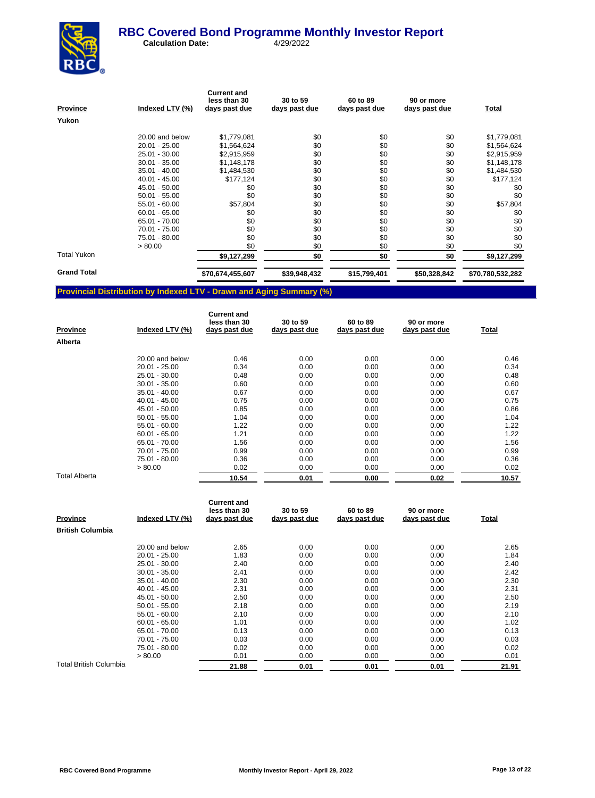

**Calculation Date:** 4/29/2022

| <b>Province</b>    | Indexed LTV (%) | <b>Current and</b><br>less than 30<br>days past due | 30 to 59<br>days past due | 60 to 89<br>days past due | 90 or more<br>days past due | <b>Total</b>     |
|--------------------|-----------------|-----------------------------------------------------|---------------------------|---------------------------|-----------------------------|------------------|
| Yukon              |                 |                                                     |                           |                           |                             |                  |
|                    | 20.00 and below | \$1,779,081                                         | \$0                       | \$0                       | \$0                         | \$1,779,081      |
|                    | $20.01 - 25.00$ | \$1,564,624                                         | \$0                       | \$0                       | \$0                         | \$1,564,624      |
|                    | 25.01 - 30.00   | \$2,915,959                                         | \$0                       | \$0                       | \$0                         | \$2,915,959      |
|                    | $30.01 - 35.00$ | \$1,148,178                                         | \$0                       | \$0                       | \$0                         | \$1,148,178      |
|                    | $35.01 - 40.00$ | \$1,484,530                                         | \$0                       | \$0                       | \$0                         | \$1,484,530      |
|                    | $40.01 - 45.00$ | \$177,124                                           | \$0                       | \$0                       | \$0                         | \$177,124        |
|                    | 45.01 - 50.00   | \$0                                                 | \$0                       | \$0                       | \$0                         | \$0              |
|                    | $50.01 - 55.00$ | \$0                                                 | \$0                       | \$0                       | \$0                         | \$0              |
|                    | $55.01 - 60.00$ | \$57,804                                            | \$0                       | \$0                       | \$0                         | \$57,804         |
|                    | $60.01 - 65.00$ | \$0                                                 | \$0                       | \$0                       | \$0                         | \$0              |
|                    | 65.01 - 70.00   | \$0                                                 | \$0                       | \$0                       | \$0                         | \$0              |
|                    | 70.01 - 75.00   | \$0                                                 | \$0                       | \$0                       | \$0                         | \$0              |
|                    | 75.01 - 80.00   | \$0                                                 | \$0                       | \$0                       | \$0                         | \$0              |
|                    | > 80.00         | \$0                                                 | \$0                       | \$0                       | \$0                         | \$0              |
| <b>Total Yukon</b> |                 | \$9,127,299                                         | \$0                       | \$0                       | \$0                         | \$9,127,299      |
| <b>Grand Total</b> |                 | \$70,674,455,607                                    | \$39,948,432              | \$15,799,401              | \$50,328,842                | \$70,780,532,282 |

# **Provincial Distribution by Indexed LTV - Drawn and Aging Summary (%)**

| <b>Province</b>      | Indexed LTV (%) | <b>Current and</b><br>less than 30<br>days past due | 30 to 59<br>days past due | 60 to 89<br>days past due | 90 or more<br>days past due | Total |
|----------------------|-----------------|-----------------------------------------------------|---------------------------|---------------------------|-----------------------------|-------|
| Alberta              |                 |                                                     |                           |                           |                             |       |
|                      | 20.00 and below | 0.46                                                | 0.00                      | 0.00                      | 0.00                        | 0.46  |
|                      | $20.01 - 25.00$ | 0.34                                                | 0.00                      | 0.00                      | 0.00                        | 0.34  |
|                      | 25.01 - 30.00   | 0.48                                                | 0.00                      | 0.00                      | 0.00                        | 0.48  |
|                      | $30.01 - 35.00$ | 0.60                                                | 0.00                      | 0.00                      | 0.00                        | 0.60  |
|                      | $35.01 - 40.00$ | 0.67                                                | 0.00                      | 0.00                      | 0.00                        | 0.67  |
|                      | $40.01 - 45.00$ | 0.75                                                | 0.00                      | 0.00                      | 0.00                        | 0.75  |
|                      | 45.01 - 50.00   | 0.85                                                | 0.00                      | 0.00                      | 0.00                        | 0.86  |
|                      | $50.01 - 55.00$ | 1.04                                                | 0.00                      | 0.00                      | 0.00                        | 1.04  |
|                      | $55.01 - 60.00$ | 1.22                                                | 0.00                      | 0.00                      | 0.00                        | 1.22  |
|                      | $60.01 - 65.00$ | 1.21                                                | 0.00                      | 0.00                      | 0.00                        | 1.22  |
|                      | 65.01 - 70.00   | 1.56                                                | 0.00                      | 0.00                      | 0.00                        | 1.56  |
|                      | 70.01 - 75.00   | 0.99                                                | 0.00                      | 0.00                      | 0.00                        | 0.99  |
|                      | 75.01 - 80.00   | 0.36                                                | 0.00                      | 0.00                      | 0.00                        | 0.36  |
|                      | > 80.00         | 0.02                                                | 0.00                      | 0.00                      | 0.00                        | 0.02  |
| <b>Total Alberta</b> |                 | 10.54                                               | 0.01                      | 0.00                      | 0.02                        | 10.57 |

| <b>Province</b>         | Indexed LTV (%) | <b>Current and</b><br>less than 30<br>days past due | 30 to 59<br>days past due | 60 to 89<br>days past due | 90 or more<br>days past due | <u>Total</u> |
|-------------------------|-----------------|-----------------------------------------------------|---------------------------|---------------------------|-----------------------------|--------------|
| <b>British Columbia</b> |                 |                                                     |                           |                           |                             |              |
|                         | 20.00 and below | 2.65                                                | 0.00                      | 0.00                      | 0.00                        | 2.65         |
|                         | $20.01 - 25.00$ | 1.83                                                | 0.00                      | 0.00                      | 0.00                        | 1.84         |
|                         | 25.01 - 30.00   | 2.40                                                | 0.00                      | 0.00                      | 0.00                        | 2.40         |
|                         | $30.01 - 35.00$ | 2.41                                                | 0.00                      | 0.00                      | 0.00                        | 2.42         |
|                         | $35.01 - 40.00$ | 2.30                                                | 0.00                      | 0.00                      | 0.00                        | 2.30         |
|                         | $40.01 - 45.00$ | 2.31                                                | 0.00                      | 0.00                      | 0.00                        | 2.31         |
|                         | 45.01 - 50.00   | 2.50                                                | 0.00                      | 0.00                      | 0.00                        | 2.50         |
|                         | $50.01 - 55.00$ | 2.18                                                | 0.00                      | 0.00                      | 0.00                        | 2.19         |
|                         | $55.01 - 60.00$ | 2.10                                                | 0.00                      | 0.00                      | 0.00                        | 2.10         |
|                         | $60.01 - 65.00$ | 1.01                                                | 0.00                      | 0.00                      | 0.00                        | 1.02         |
|                         | 65.01 - 70.00   | 0.13                                                | 0.00                      | 0.00                      | 0.00                        | 0.13         |
|                         | 70.01 - 75.00   | 0.03                                                | 0.00                      | 0.00                      | 0.00                        | 0.03         |
|                         | 75.01 - 80.00   | 0.02                                                | 0.00                      | 0.00                      | 0.00                        | 0.02         |
|                         | > 80.00         | 0.01                                                | 0.00                      | 0.00                      | 0.00                        | 0.01         |
| Total British Columbia  |                 | 21.88                                               | 0.01                      | 0.01                      | 0.01                        | 21.91        |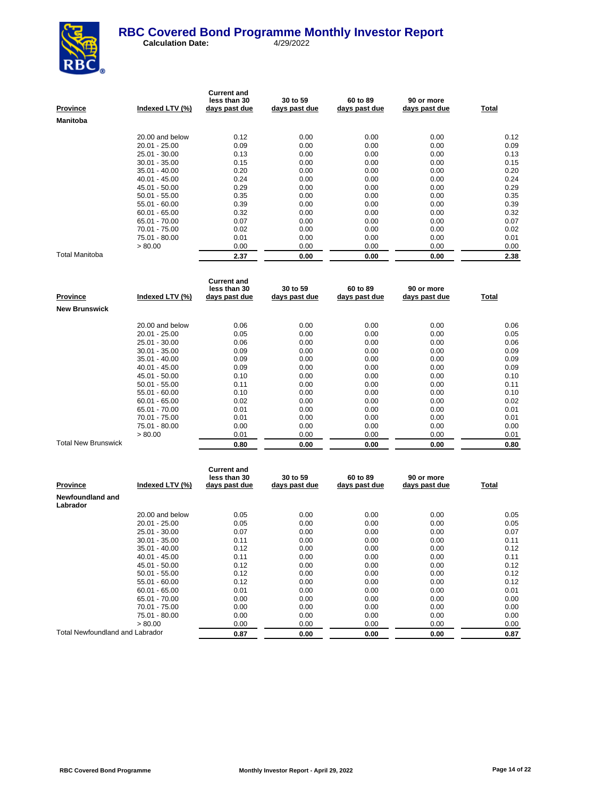

| <b>Province</b> | Indexed LTV (%) | <b>Current and</b><br>less than 30<br>days past due | 30 to 59<br>days past due | 60 to 89<br>days past due | 90 or more<br>days past due | Total |
|-----------------|-----------------|-----------------------------------------------------|---------------------------|---------------------------|-----------------------------|-------|
| <b>Manitoba</b> |                 |                                                     |                           |                           |                             |       |
|                 | 20.00 and below | 0.12                                                | 0.00                      | 0.00                      | 0.00                        | 0.12  |
|                 | $20.01 - 25.00$ | 0.09                                                | 0.00                      | 0.00                      | 0.00                        | 0.09  |
|                 | 25.01 - 30.00   | 0.13                                                | 0.00                      | 0.00                      | 0.00                        | 0.13  |
|                 | $30.01 - 35.00$ | 0.15                                                | 0.00                      | 0.00                      | 0.00                        | 0.15  |
|                 | $35.01 - 40.00$ | 0.20                                                | 0.00                      | 0.00                      | 0.00                        | 0.20  |
|                 | $40.01 - 45.00$ | 0.24                                                | 0.00                      | 0.00                      | 0.00                        | 0.24  |
|                 | 45.01 - 50.00   | 0.29                                                | 0.00                      | 0.00                      | 0.00                        | 0.29  |
|                 | $50.01 - 55.00$ | 0.35                                                | 0.00                      | 0.00                      | 0.00                        | 0.35  |
|                 | $55.01 - 60.00$ | 0.39                                                | 0.00                      | 0.00                      | 0.00                        | 0.39  |
|                 | $60.01 - 65.00$ | 0.32                                                | 0.00                      | 0.00                      | 0.00                        | 0.32  |
|                 | 65.01 - 70.00   | 0.07                                                | 0.00                      | 0.00                      | 0.00                        | 0.07  |
|                 | 70.01 - 75.00   | 0.02                                                | 0.00                      | 0.00                      | 0.00                        | 0.02  |
|                 | 75.01 - 80.00   | 0.01                                                | 0.00                      | 0.00                      | 0.00                        | 0.01  |
|                 | > 80.00         | 0.00                                                | 0.00                      | 0.00                      | 0.00                        | 0.00  |
| Total Manitoba  |                 | 2.37                                                | 0.00                      | 0.00                      | 0.00                        | 2.38  |

| Province                   | Indexed LTV (%) | <b>Current and</b><br>less than 30<br>days past due | 30 to 59<br>days past due | 60 to 89<br>days past due | 90 or more<br>days past due | Total |
|----------------------------|-----------------|-----------------------------------------------------|---------------------------|---------------------------|-----------------------------|-------|
| <b>New Brunswick</b>       |                 |                                                     |                           |                           |                             |       |
|                            | 20.00 and below | 0.06                                                | 0.00                      | 0.00                      | 0.00                        | 0.06  |
|                            | $20.01 - 25.00$ | 0.05                                                | 0.00                      | 0.00                      | 0.00                        | 0.05  |
|                            | 25.01 - 30.00   | 0.06                                                | 0.00                      | 0.00                      | 0.00                        | 0.06  |
|                            | $30.01 - 35.00$ | 0.09                                                | 0.00                      | 0.00                      | 0.00                        | 0.09  |
|                            | $35.01 - 40.00$ | 0.09                                                | 0.00                      | 0.00                      | 0.00                        | 0.09  |
|                            | $40.01 - 45.00$ | 0.09                                                | 0.00                      | 0.00                      | 0.00                        | 0.09  |
|                            | 45.01 - 50.00   | 0.10                                                | 0.00                      | 0.00                      | 0.00                        | 0.10  |
|                            | $50.01 - 55.00$ | 0.11                                                | 0.00                      | 0.00                      | 0.00                        | 0.11  |
|                            | $55.01 - 60.00$ | 0.10                                                | 0.00                      | 0.00                      | 0.00                        | 0.10  |
|                            | $60.01 - 65.00$ | 0.02                                                | 0.00                      | 0.00                      | 0.00                        | 0.02  |
|                            | 65.01 - 70.00   | 0.01                                                | 0.00                      | 0.00                      | 0.00                        | 0.01  |
|                            | 70.01 - 75.00   | 0.01                                                | 0.00                      | 0.00                      | 0.00                        | 0.01  |
|                            | 75.01 - 80.00   | 0.00                                                | 0.00                      | 0.00                      | 0.00                        | 0.00  |
|                            | > 80.00         | 0.01                                                | 0.00                      | 0.00                      | 0.00                        | 0.01  |
| <b>Total New Brunswick</b> |                 | 0.80                                                | 0.00                      | 0.00                      | 0.00                        | 0.80  |

| <b>Province</b>                 | Indexed LTV (%) | <b>Current and</b><br>less than 30<br>days past due | 30 to 59<br>days past due | 60 to 89<br>days past due | 90 or more<br>days past due | Total |
|---------------------------------|-----------------|-----------------------------------------------------|---------------------------|---------------------------|-----------------------------|-------|
| Newfoundland and<br>Labrador    |                 |                                                     |                           |                           |                             |       |
|                                 | 20.00 and below | 0.05                                                | 0.00                      | 0.00                      | 0.00                        | 0.05  |
|                                 | $20.01 - 25.00$ | 0.05                                                | 0.00                      | 0.00                      | 0.00                        | 0.05  |
|                                 | 25.01 - 30.00   | 0.07                                                | 0.00                      | 0.00                      | 0.00                        | 0.07  |
|                                 | $30.01 - 35.00$ | 0.11                                                | 0.00                      | 0.00                      | 0.00                        | 0.11  |
|                                 | $35.01 - 40.00$ | 0.12                                                | 0.00                      | 0.00                      | 0.00                        | 0.12  |
|                                 | $40.01 - 45.00$ | 0.11                                                | 0.00                      | 0.00                      | 0.00                        | 0.11  |
|                                 | 45.01 - 50.00   | 0.12                                                | 0.00                      | 0.00                      | 0.00                        | 0.12  |
|                                 | $50.01 - 55.00$ | 0.12                                                | 0.00                      | 0.00                      | 0.00                        | 0.12  |
|                                 | $55.01 - 60.00$ | 0.12                                                | 0.00                      | 0.00                      | 0.00                        | 0.12  |
|                                 | $60.01 - 65.00$ | 0.01                                                | 0.00                      | 0.00                      | 0.00                        | 0.01  |
|                                 | 65.01 - 70.00   | 0.00                                                | 0.00                      | 0.00                      | 0.00                        | 0.00  |
|                                 | 70.01 - 75.00   | 0.00                                                | 0.00                      | 0.00                      | 0.00                        | 0.00  |
|                                 | 75.01 - 80.00   | 0.00                                                | 0.00                      | 0.00                      | 0.00                        | 0.00  |
|                                 | > 80.00         | 0.00                                                | 0.00                      | 0.00                      | 0.00                        | 0.00  |
| Total Newfoundland and Labrador |                 | 0.87                                                | 0.00                      | 0.00                      | 0.00                        | 0.87  |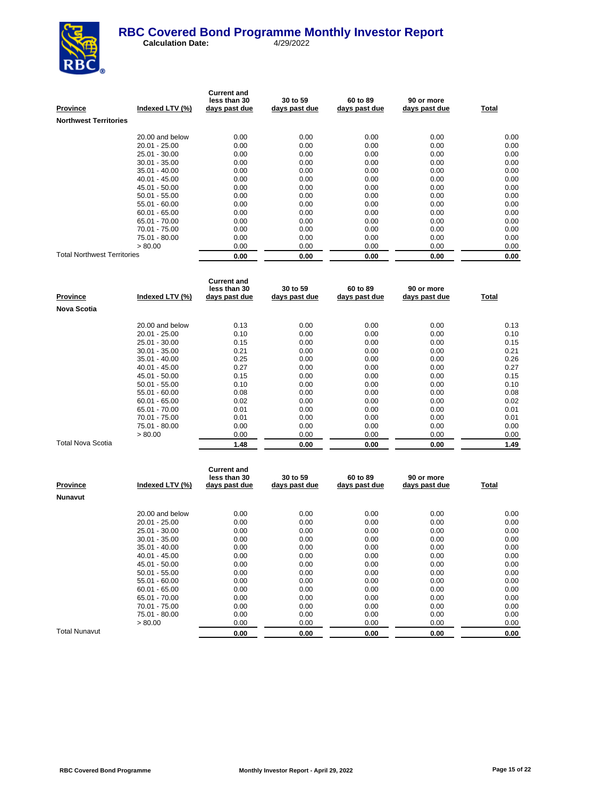

| <b>Province</b>                    | Indexed LTV (%) | <b>Current and</b><br>less than 30<br>days past due | 30 to 59<br>days past due | 60 to 89<br>days past due | 90 or more<br>days past due | Total |
|------------------------------------|-----------------|-----------------------------------------------------|---------------------------|---------------------------|-----------------------------|-------|
| <b>Northwest Territories</b>       |                 |                                                     |                           |                           |                             |       |
|                                    | 20.00 and below | 0.00                                                | 0.00                      | 0.00                      | 0.00                        | 0.00  |
|                                    | 20.01 - 25.00   | 0.00                                                | 0.00                      | 0.00                      | 0.00                        | 0.00  |
|                                    | 25.01 - 30.00   | 0.00                                                | 0.00                      | 0.00                      | 0.00                        | 0.00  |
|                                    | $30.01 - 35.00$ | 0.00                                                | 0.00                      | 0.00                      | 0.00                        | 0.00  |
|                                    | $35.01 - 40.00$ | 0.00                                                | 0.00                      | 0.00                      | 0.00                        | 0.00  |
|                                    | $40.01 - 45.00$ | 0.00                                                | 0.00                      | 0.00                      | 0.00                        | 0.00  |
|                                    | 45.01 - 50.00   | 0.00                                                | 0.00                      | 0.00                      | 0.00                        | 0.00  |
|                                    | $50.01 - 55.00$ | 0.00                                                | 0.00                      | 0.00                      | 0.00                        | 0.00  |
|                                    | 55.01 - 60.00   | 0.00                                                | 0.00                      | 0.00                      | 0.00                        | 0.00  |
|                                    | $60.01 - 65.00$ | 0.00                                                | 0.00                      | 0.00                      | 0.00                        | 0.00  |
|                                    | 65.01 - 70.00   | 0.00                                                | 0.00                      | 0.00                      | 0.00                        | 0.00  |
|                                    | 70.01 - 75.00   | 0.00                                                | 0.00                      | 0.00                      | 0.00                        | 0.00  |
|                                    | 75.01 - 80.00   | 0.00                                                | 0.00                      | 0.00                      | 0.00                        | 0.00  |
|                                    | > 80.00         | 0.00                                                | 0.00                      | 0.00                      | 0.00                        | 0.00  |
| <b>Total Northwest Territories</b> |                 | 0.00                                                | 0.00                      | 0.00                      | 0.00                        | 0.00  |

| <b>Province</b>    | Indexed LTV (%) | <b>Current and</b><br>less than 30<br>days past due | 30 to 59<br>days past due | 60 to 89<br>days past due | 90 or more<br>days past due | Total |
|--------------------|-----------------|-----------------------------------------------------|---------------------------|---------------------------|-----------------------------|-------|
| <b>Nova Scotia</b> |                 |                                                     |                           |                           |                             |       |
|                    | 20.00 and below | 0.13                                                | 0.00                      | 0.00                      | 0.00                        | 0.13  |
|                    | $20.01 - 25.00$ | 0.10                                                | 0.00                      | 0.00                      | 0.00                        | 0.10  |
|                    | $25.01 - 30.00$ | 0.15                                                | 0.00                      | 0.00                      | 0.00                        | 0.15  |
|                    | $30.01 - 35.00$ | 0.21                                                | 0.00                      | 0.00                      | 0.00                        | 0.21  |
|                    | $35.01 - 40.00$ | 0.25                                                | 0.00                      | 0.00                      | 0.00                        | 0.26  |
|                    | $40.01 - 45.00$ | 0.27                                                | 0.00                      | 0.00                      | 0.00                        | 0.27  |
|                    | 45.01 - 50.00   | 0.15                                                | 0.00                      | 0.00                      | 0.00                        | 0.15  |
|                    | $50.01 - 55.00$ | 0.10                                                | 0.00                      | 0.00                      | 0.00                        | 0.10  |
|                    | $55.01 - 60.00$ | 0.08                                                | 0.00                      | 0.00                      | 0.00                        | 0.08  |
|                    | $60.01 - 65.00$ | 0.02                                                | 0.00                      | 0.00                      | 0.00                        | 0.02  |
|                    | 65.01 - 70.00   | 0.01                                                | 0.00                      | 0.00                      | 0.00                        | 0.01  |
|                    | 70.01 - 75.00   | 0.01                                                | 0.00                      | 0.00                      | 0.00                        | 0.01  |
|                    | 75.01 - 80.00   | 0.00                                                | 0.00                      | 0.00                      | 0.00                        | 0.00  |
|                    | > 80.00         | 0.00                                                | 0.00                      | 0.00                      | 0.00                        | 0.00  |
| Total Nova Scotia  |                 | 1.48                                                | 0.00                      | 0.00                      | 0.00                        | 1.49  |

| <b>Province</b> | Indexed LTV (%) | <b>Current and</b><br>less than 30<br>days past due | 30 to 59<br>days past due | 60 to 89<br>days past due | 90 or more<br>days past due | <u>Total</u> |
|-----------------|-----------------|-----------------------------------------------------|---------------------------|---------------------------|-----------------------------|--------------|
| <b>Nunavut</b>  |                 |                                                     |                           |                           |                             |              |
|                 | 20.00 and below | 0.00                                                | 0.00                      | 0.00                      | 0.00                        | 0.00         |
|                 | $20.01 - 25.00$ | 0.00                                                | 0.00                      | 0.00                      | 0.00                        | 0.00         |
|                 | 25.01 - 30.00   | 0.00                                                | 0.00                      | 0.00                      | 0.00                        | 0.00         |
|                 | $30.01 - 35.00$ | 0.00                                                | 0.00                      | 0.00                      | 0.00                        | 0.00         |
|                 | $35.01 - 40.00$ | 0.00                                                | 0.00                      | 0.00                      | 0.00                        | 0.00         |
|                 | $40.01 - 45.00$ | 0.00                                                | 0.00                      | 0.00                      | 0.00                        | 0.00         |
|                 | 45.01 - 50.00   | 0.00                                                | 0.00                      | 0.00                      | 0.00                        | 0.00         |
|                 | $50.01 - 55.00$ | 0.00                                                | 0.00                      | 0.00                      | 0.00                        | 0.00         |
|                 | $55.01 - 60.00$ | 0.00                                                | 0.00                      | 0.00                      | 0.00                        | 0.00         |
|                 | $60.01 - 65.00$ | 0.00                                                | 0.00                      | 0.00                      | 0.00                        | 0.00         |
|                 | 65.01 - 70.00   | 0.00                                                | 0.00                      | 0.00                      | 0.00                        | 0.00         |
|                 | 70.01 - 75.00   | 0.00                                                | 0.00                      | 0.00                      | 0.00                        | 0.00         |
|                 | 75.01 - 80.00   | 0.00                                                | 0.00                      | 0.00                      | 0.00                        | 0.00         |
|                 | > 80.00         | 0.00                                                | 0.00                      | 0.00                      | 0.00                        | 0.00         |
| Total Nunavut   |                 | 0.00                                                | 0.00                      | 0.00                      | 0.00                        | 0.00         |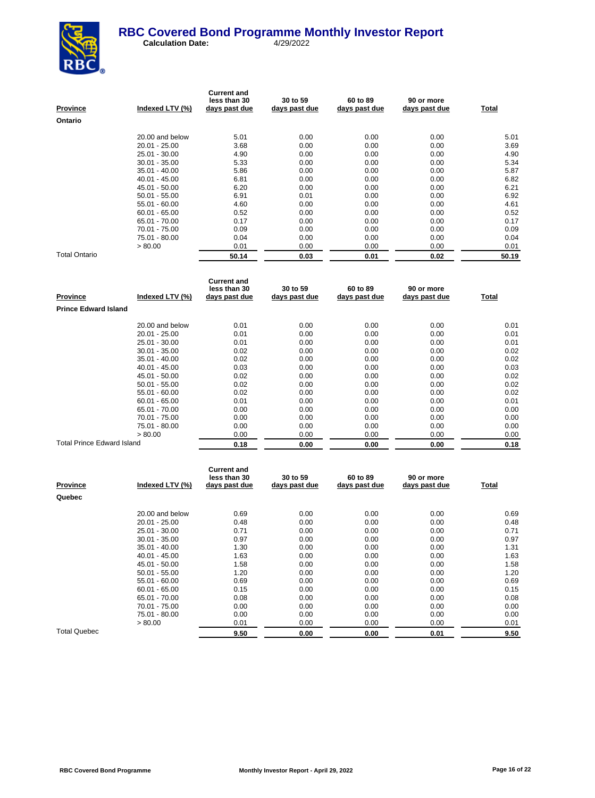

| <b>Province</b> | Indexed LTV (%) | <b>Current and</b><br>less than 30<br>days past due | 30 to 59<br>days past due | 60 to 89<br>days past due | 90 or more<br>days past due | Total |
|-----------------|-----------------|-----------------------------------------------------|---------------------------|---------------------------|-----------------------------|-------|
| Ontario         |                 |                                                     |                           |                           |                             |       |
|                 | 20.00 and below | 5.01                                                | 0.00                      | 0.00                      | 0.00                        | 5.01  |
|                 | $20.01 - 25.00$ | 3.68                                                | 0.00                      | 0.00                      | 0.00                        | 3.69  |
|                 | 25.01 - 30.00   | 4.90                                                | 0.00                      | 0.00                      | 0.00                        | 4.90  |
|                 | $30.01 - 35.00$ | 5.33                                                | 0.00                      | 0.00                      | 0.00                        | 5.34  |
|                 | $35.01 - 40.00$ | 5.86                                                | 0.00                      | 0.00                      | 0.00                        | 5.87  |
|                 | $40.01 - 45.00$ | 6.81                                                | 0.00                      | 0.00                      | 0.00                        | 6.82  |
|                 | 45.01 - 50.00   | 6.20                                                | 0.00                      | 0.00                      | 0.00                        | 6.21  |
|                 | $50.01 - 55.00$ | 6.91                                                | 0.01                      | 0.00                      | 0.00                        | 6.92  |
|                 | $55.01 - 60.00$ | 4.60                                                | 0.00                      | 0.00                      | 0.00                        | 4.61  |
|                 | $60.01 - 65.00$ | 0.52                                                | 0.00                      | 0.00                      | 0.00                        | 0.52  |
|                 | 65.01 - 70.00   | 0.17                                                | 0.00                      | 0.00                      | 0.00                        | 0.17  |
|                 | 70.01 - 75.00   | 0.09                                                | 0.00                      | 0.00                      | 0.00                        | 0.09  |
|                 | 75.01 - 80.00   | 0.04                                                | 0.00                      | 0.00                      | 0.00                        | 0.04  |
|                 | > 80.00         | 0.01                                                | 0.00                      | 0.00                      | 0.00                        | 0.01  |
| Total Ontario   |                 | 50.14                                               | 0.03                      | 0.01                      | 0.02                        | 50.19 |

| Province                          | Indexed LTV (%) | <b>Current and</b><br>less than 30<br>days past due | 30 to 59<br>days past due | 60 to 89<br>days past due | 90 or more<br>days past due | Total |
|-----------------------------------|-----------------|-----------------------------------------------------|---------------------------|---------------------------|-----------------------------|-------|
| <b>Prince Edward Island</b>       |                 |                                                     |                           |                           |                             |       |
|                                   | 20.00 and below | 0.01                                                | 0.00                      | 0.00                      | 0.00                        | 0.01  |
|                                   | $20.01 - 25.00$ | 0.01                                                | 0.00                      | 0.00                      | 0.00                        | 0.01  |
|                                   | 25.01 - 30.00   | 0.01                                                | 0.00                      | 0.00                      | 0.00                        | 0.01  |
|                                   | $30.01 - 35.00$ | 0.02                                                | 0.00                      | 0.00                      | 0.00                        | 0.02  |
|                                   | $35.01 - 40.00$ | 0.02                                                | 0.00                      | 0.00                      | 0.00                        | 0.02  |
|                                   | $40.01 - 45.00$ | 0.03                                                | 0.00                      | 0.00                      | 0.00                        | 0.03  |
|                                   | 45.01 - 50.00   | 0.02                                                | 0.00                      | 0.00                      | 0.00                        | 0.02  |
|                                   | $50.01 - 55.00$ | 0.02                                                | 0.00                      | 0.00                      | 0.00                        | 0.02  |
|                                   | $55.01 - 60.00$ | 0.02                                                | 0.00                      | 0.00                      | 0.00                        | 0.02  |
|                                   | $60.01 - 65.00$ | 0.01                                                | 0.00                      | 0.00                      | 0.00                        | 0.01  |
|                                   | 65.01 - 70.00   | 0.00                                                | 0.00                      | 0.00                      | 0.00                        | 0.00  |
|                                   | 70.01 - 75.00   | 0.00                                                | 0.00                      | 0.00                      | 0.00                        | 0.00  |
|                                   | 75.01 - 80.00   | 0.00                                                | 0.00                      | 0.00                      | 0.00                        | 0.00  |
|                                   | > 80.00         | 0.00                                                | 0.00                      | 0.00                      | 0.00                        | 0.00  |
| <b>Total Prince Edward Island</b> |                 | 0.18                                                | 0.00                      | 0.00                      | 0.00                        | 0.18  |

| <b>Province</b>     | Indexed LTV (%) | <b>Current and</b><br>less than 30<br>days past due | 30 to 59<br>days past due | 60 to 89<br>days past due | 90 or more<br>days past due | Total |
|---------------------|-----------------|-----------------------------------------------------|---------------------------|---------------------------|-----------------------------|-------|
| Quebec              |                 |                                                     |                           |                           |                             |       |
|                     | 20.00 and below | 0.69                                                | 0.00                      | 0.00                      | 0.00                        | 0.69  |
|                     | 20.01 - 25.00   | 0.48                                                | 0.00                      | 0.00                      | 0.00                        | 0.48  |
|                     | 25.01 - 30.00   | 0.71                                                | 0.00                      | 0.00                      | 0.00                        | 0.71  |
|                     | $30.01 - 35.00$ | 0.97                                                | 0.00                      | 0.00                      | 0.00                        | 0.97  |
|                     | $35.01 - 40.00$ | 1.30                                                | 0.00                      | 0.00                      | 0.00                        | 1.31  |
|                     | $40.01 - 45.00$ | 1.63                                                | 0.00                      | 0.00                      | 0.00                        | 1.63  |
|                     | 45.01 - 50.00   | 1.58                                                | 0.00                      | 0.00                      | 0.00                        | 1.58  |
|                     | $50.01 - 55.00$ | 1.20                                                | 0.00                      | 0.00                      | 0.00                        | 1.20  |
|                     | $55.01 - 60.00$ | 0.69                                                | 0.00                      | 0.00                      | 0.00                        | 0.69  |
|                     | $60.01 - 65.00$ | 0.15                                                | 0.00                      | 0.00                      | 0.00                        | 0.15  |
|                     | 65.01 - 70.00   | 0.08                                                | 0.00                      | 0.00                      | 0.00                        | 0.08  |
|                     | 70.01 - 75.00   | 0.00                                                | 0.00                      | 0.00                      | 0.00                        | 0.00  |
|                     | 75.01 - 80.00   | 0.00                                                | 0.00                      | 0.00                      | 0.00                        | 0.00  |
|                     | > 80.00         | 0.01                                                | 0.00                      | 0.00                      | 0.00                        | 0.01  |
| <b>Total Quebec</b> |                 | 9.50                                                | 0.00                      | 0.00                      | 0.01                        | 9.50  |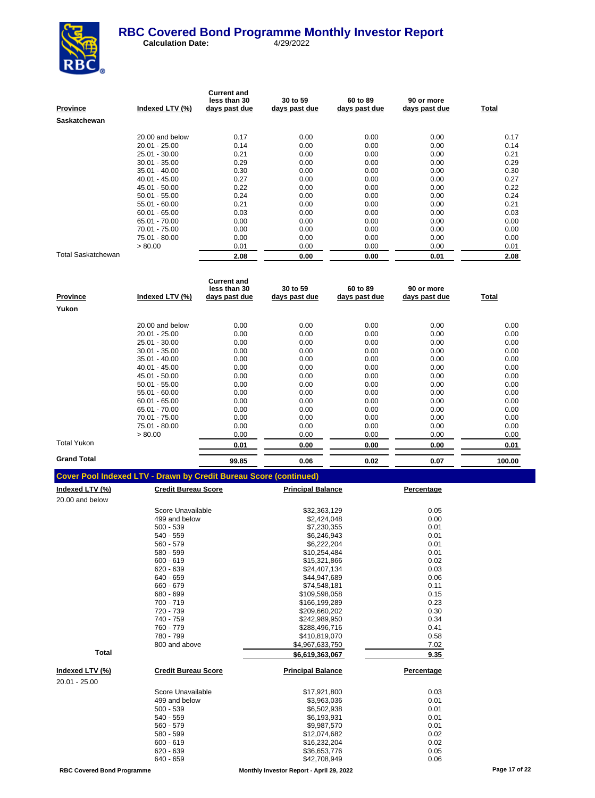

| <b>Province</b>           | Indexed LTV (%) | <b>Current and</b><br>less than 30<br>days past due | 30 to 59<br>days past due | 60 to 89<br>days past due | 90 or more<br>days past due | Total |
|---------------------------|-----------------|-----------------------------------------------------|---------------------------|---------------------------|-----------------------------|-------|
| <b>Saskatchewan</b>       |                 |                                                     |                           |                           |                             |       |
|                           | 20.00 and below | 0.17                                                | 0.00                      | 0.00                      | 0.00                        | 0.17  |
|                           | $20.01 - 25.00$ | 0.14                                                | 0.00                      | 0.00                      | 0.00                        | 0.14  |
|                           | $25.01 - 30.00$ | 0.21                                                | 0.00                      | 0.00                      | 0.00                        | 0.21  |
|                           | $30.01 - 35.00$ | 0.29                                                | 0.00                      | 0.00                      | 0.00                        | 0.29  |
|                           | $35.01 - 40.00$ | 0.30                                                | 0.00                      | 0.00                      | 0.00                        | 0.30  |
|                           | $40.01 - 45.00$ | 0.27                                                | 0.00                      | 0.00                      | 0.00                        | 0.27  |
|                           | 45.01 - 50.00   | 0.22                                                | 0.00                      | 0.00                      | 0.00                        | 0.22  |
|                           | $50.01 - 55.00$ | 0.24                                                | 0.00                      | 0.00                      | 0.00                        | 0.24  |
|                           | $55.01 - 60.00$ | 0.21                                                | 0.00                      | 0.00                      | 0.00                        | 0.21  |
|                           | $60.01 - 65.00$ | 0.03                                                | 0.00                      | 0.00                      | 0.00                        | 0.03  |
|                           | 65.01 - 70.00   | 0.00                                                | 0.00                      | 0.00                      | 0.00                        | 0.00  |
|                           | 70.01 - 75.00   | 0.00                                                | 0.00                      | 0.00                      | 0.00                        | 0.00  |
|                           | 75.01 - 80.00   | 0.00                                                | 0.00                      | 0.00                      | 0.00                        | 0.00  |
|                           | > 80.00         | 0.01                                                | 0.00                      | 0.00                      | 0.00                        | 0.01  |
| <b>Total Saskatchewan</b> |                 | 2.08                                                | 0.00                      | 0.00                      | 0.01                        | 2.08  |

| <b>Province</b>    | Indexed LTV (%) | <b>Current and</b><br>less than 30<br>days past due | 30 to 59<br>days past due | 60 to 89<br>days past due | 90 or more<br>days past due | Total  |
|--------------------|-----------------|-----------------------------------------------------|---------------------------|---------------------------|-----------------------------|--------|
| Yukon              |                 |                                                     |                           |                           |                             |        |
|                    | 20.00 and below | 0.00                                                | 0.00                      | 0.00                      | 0.00                        | 0.00   |
|                    | $20.01 - 25.00$ | 0.00                                                | 0.00                      | 0.00                      | 0.00                        | 0.00   |
|                    | 25.01 - 30.00   | 0.00                                                | 0.00                      | 0.00                      | 0.00                        | 0.00   |
|                    | $30.01 - 35.00$ | 0.00                                                | 0.00                      | 0.00                      | 0.00                        | 0.00   |
|                    | $35.01 - 40.00$ | 0.00                                                | 0.00                      | 0.00                      | 0.00                        | 0.00   |
|                    | $40.01 - 45.00$ | 0.00                                                | 0.00                      | 0.00                      | 0.00                        | 0.00   |
|                    | 45.01 - 50.00   | 0.00                                                | 0.00                      | 0.00                      | 0.00                        | 0.00   |
|                    | $50.01 - 55.00$ | 0.00                                                | 0.00                      | 0.00                      | 0.00                        | 0.00   |
|                    | $55.01 - 60.00$ | 0.00                                                | 0.00                      | 0.00                      | 0.00                        | 0.00   |
|                    | $60.01 - 65.00$ | 0.00                                                | 0.00                      | 0.00                      | 0.00                        | 0.00   |
|                    | 65.01 - 70.00   | 0.00                                                | 0.00                      | 0.00                      | 0.00                        | 0.00   |
|                    | 70.01 - 75.00   | 0.00                                                | 0.00                      | 0.00                      | 0.00                        | 0.00   |
|                    | 75.01 - 80.00   | 0.00                                                | 0.00                      | 0.00                      | 0.00                        | 0.00   |
|                    | > 80.00         | 0.00                                                | 0.00                      | 0.00                      | 0.00                        | 0.00   |
| Total Yukon        |                 | 0.01                                                | 0.00                      | 0.00                      | 0.00                        | 0.01   |
| <b>Grand Total</b> |                 | 99.85                                               | 0.06                      | 0.02                      | 0.07                        | 100.00 |

| <u>Indexed LTV (%)</u> | <b>Credit Bureau Score</b> | <b>Principal Balance</b> | Percentage |
|------------------------|----------------------------|--------------------------|------------|
| 20.00 and below        |                            |                          |            |
|                        | Score Unavailable          | \$32,363,129             | 0.05       |
|                        | 499 and below              | \$2,424,048              | 0.00       |
|                        | $500 - 539$                | \$7,230,355              | 0.01       |
|                        | 540 - 559                  | \$6.246.943              | 0.01       |
|                        | 560 - 579                  | \$6,222,204              | 0.01       |
|                        | 580 - 599                  | \$10.254.484             | 0.01       |
|                        | $600 - 619$                | \$15,321,866             | 0.02       |
|                        | $620 - 639$                | \$24,407,134             | 0.03       |
|                        | 640 - 659                  | \$44,947,689             | 0.06       |
|                        | 660 - 679                  | \$74,548,181             | 0.11       |
|                        | 680 - 699                  | \$109,598,058            | 0.15       |
|                        | 700 - 719                  | \$166,199,289            | 0.23       |
|                        | 720 - 739                  | \$209,660,202            | 0.30       |
|                        | 740 - 759                  | \$242,989,950            | 0.34       |
|                        | 760 - 779                  | \$288,496,716            | 0.41       |
|                        | 780 - 799                  | \$410,819,070            | 0.58       |
|                        | 800 and above              | \$4,967,633,750          | 7.02       |
| <b>Total</b>           |                            | \$6,619,363,067          | 9.35       |
| Indexed LTV (%)        | <b>Credit Bureau Score</b> | <b>Principal Balance</b> | Percentage |
| 20.01 - 25.00          |                            |                          |            |
|                        | Score Unavailable          | \$17,921,800             | 0.03       |
|                        | 499 and below              | \$3,963,036              | 0.01       |
|                        | $500 - 539$                | \$6,502,938              | 0.01       |
|                        | 540 - 559                  | \$6,193,931              | 0.01       |
|                        | 560 - 579                  | \$9,987,570              | 0.01       |
|                        | 580 - 599                  | \$12,074,682             | 0.02       |
|                        | $600 - 619$                | \$16,232,204             | 0.02       |
|                        | $620 - 639$                | \$36,653,776             | 0.05       |
|                        | 640 - 659                  | \$42,708,949             | 0.06       |
|                        |                            |                          |            |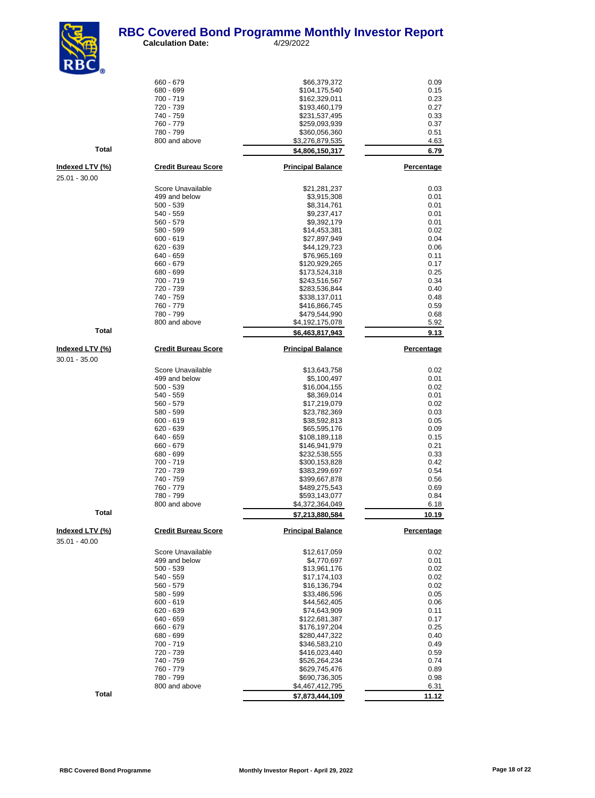#### **RBC Covered Bond Programme Monthly Investor Report**<br>Calculation Date: 4/29/2022 **Calculation Date:**



 $660 - 679$   $66,379,372$  0.09<br> $680 - 699$  0.15 680 - 699 \$104,175,540 0.15 700 - 719 \$162,329,011 0.23 720 - 739 \$193,460,179 0.27  $740 - 759$ <br> $740 - 759$ <br> $760 - 779$ <br> $760 - 779$ <br> $0.33$ <br> $760 - 779$ <br> $0.37$ 760 - 779 \$259,093,939 0.37 780 - 799 \$360,056,360 0.51 800 and above \$3,276,879,535 4.63 **Total 6.79 6.79 6.79 6.79 6.79 6.79 Indexed LTV (%) Credit Bureau Score Principal Balance Percentage** Score Unavailable 1992 1.281,281,281,287<br>1999 and below 1999 1.031 1.032 1.043 1.043 1.043 1.043 1.043 1.043 1.043 1.043 1.043 1.043 1.043 1.043 1.043 499 and below \$3,915,308 0.01 500 - 539 \$8,314,761 0.01 540 - 559 \$9,237,417 0.01 560 - 579 \$9,392,179 0.01 580 - 599 \$14,453,381 0.02 600 - 619 \$27,897,949 0.04  $620 - 639$  0.06<br>  $640 - 659$  0.11 640 - 659 \$76,965,169 0.11 660 - 679 \$120,929,265 0.17 680 - 699 \$173,524,318 0.25 \$243,516,567 0.34 720 - 739 \$283,536,844 0.40 740 - 759 \$338,137,011 0.48 760 - 779 \$416,866,745 0.59 780 - 799 \$479,544,990 0.68 \$4,192,175,078 **Total 86,463,817,943 9.13 Indexed LTV (%) Credit Bureau Score Principal Balance Percentage** Score Unavailable 1992 12:00 13:00 13:00 13:00 13:00 13:00 13:00 13:00 13:00 13:00 13:00 13:00 13:00 13:00 13:0<br>199 and below 19:00 13:00 13:00 13:00 13:00 13:00 13:00 13:00 13:00 13:00 13:00 13:00 13:00 13:00 13:00 13:00 499 and below  $\overline{35,100,497}$  0.01 0.01 0.02 500 - 539<br>540 - 559<br>58,369,014<br>58,369,014 540 - 559 \$8,369,014 0.01 560 - 579 \$17,219,079 0.02 580 - 599 \$23,782,369 0.03 600 - 619 \$38,592,813 0.05 620 - 639 \$65,595,176 0.09 640 - 659<br>660 - 679<br>**\$146 941 979**<br>\$146 941 979 660 - 679 \$146,941,979 0.21 \$232,538,555 0.33 700 - 719 \$300,153,828 0.42 720 - 739 \$383,299,697 0.54 740 - 759 \$399,667,878 0.56  $$489,275,543$ 780 - 799 **\$593,143,077** 0.84 800 and above **\$4,372,364,049** 6.18 **Total \$7,213,880,584 10.19 Indexed LTV (%) Credit Bureau Score Principal Balance Percentage** Score Unavailable  $$12,617,059$  0.02 499 and below \$4,770,697 0.01 500 - 539 \$13,961,176 0.02 540 - 559 \$17,174,103 0.02 560 - 579 \$16,136,794 0.02 580 - 599 \$33,486,596 0.05  $600 - 619$  0.06<br>  $620 - 639$  0.11 620 - 639 \$74,643,909 0.11 640 - 659 \$122,681,387 0.17 660 - 679 \$176,197,204 0.25 680 - 699 \$280,447,322 0.40 700 - 719 \$346,583,210 0.49 \$416,023,440 740 - 759 \$526,264,234 0.74 760 - 779 \$629,745,476 0.89 780 - 799 \$690,736,305 0.98

25.01 - 30.00

30.01 - 35.00

35.01 - 40.00

**Total \$7,873,444,109 11.12**

|  | <b>RBC Covered Bond Programme</b> |
|--|-----------------------------------|
|  |                                   |

\$4,467,412,795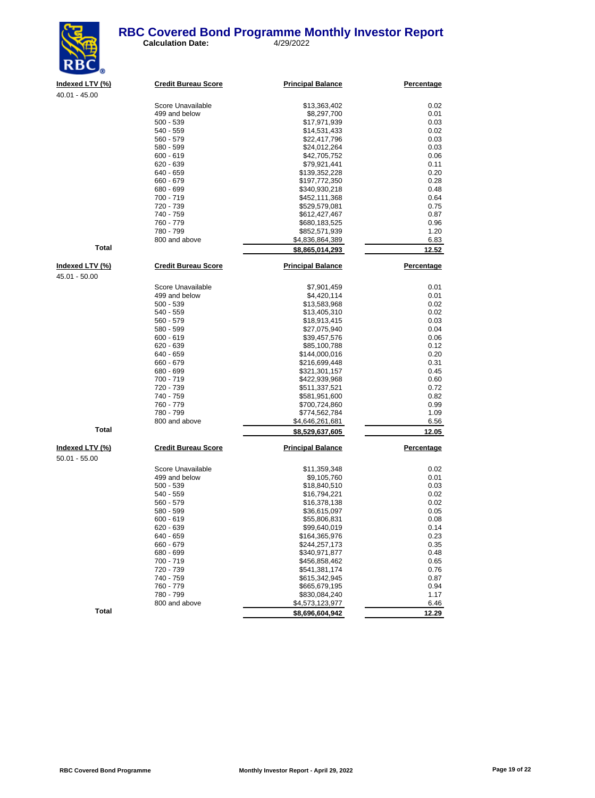#### **RBC Covered Bond Programme Monthly Investor Report**<br>
Calculation Date:  $\frac{4}{29/2022}$ **Calculation Date:**



| Indexed LTV (%) | <b>Credit Bureau Score</b> | <b>Principal Balance</b>         | <b>Percentage</b> |
|-----------------|----------------------------|----------------------------------|-------------------|
| $40.01 - 45.00$ |                            |                                  |                   |
|                 | Score Unavailable          | \$13,363,402                     | 0.02              |
|                 | 499 and below              | \$8,297,700                      | 0.01              |
|                 | $500 - 539$                | \$17,971,939                     | 0.03              |
|                 | 540 - 559                  | \$14,531,433                     | 0.02              |
|                 | 560 - 579                  | \$22,417,796                     | 0.03              |
|                 | 580 - 599                  | \$24,012,264                     | 0.03              |
|                 | $600 - 619$                | \$42,705,752                     | 0.06              |
|                 | $620 - 639$                | \$79,921,441                     | 0.11              |
|                 | 640 - 659                  | \$139,352,228                    | 0.20              |
|                 | 660 - 679                  | \$197,772,350                    | 0.28              |
|                 | 680 - 699                  | \$340,930,218                    | 0.48              |
|                 | 700 - 719                  | \$452,111,368                    | 0.64              |
|                 | 720 - 739                  | \$529,579,081                    | 0.75              |
|                 | 740 - 759<br>760 - 779     | \$612,427,467                    | 0.87              |
|                 | 780 - 799                  | \$680,183,525                    | 0.96<br>1.20      |
|                 | 800 and above              | \$852,571,939<br>\$4,836,864,389 | 6.83              |
| <b>Total</b>    |                            |                                  |                   |
|                 |                            | \$8,865,014,293                  | 12.52             |
| Indexed LTV (%) | <b>Credit Bureau Score</b> | <b>Principal Balance</b>         | Percentage        |
| 45.01 - 50.00   |                            |                                  |                   |
|                 | Score Unavailable          |                                  | 0.01              |
|                 | 499 and below              | \$7,901,459<br>\$4,420,114       | 0.01              |
|                 | $500 - 539$                | \$13,583,968                     | 0.02              |
|                 | 540 - 559                  | \$13,405,310                     | 0.02              |
|                 | 560 - 579                  | \$18,913,415                     | 0.03              |
|                 | 580 - 599                  | \$27,075,940                     | 0.04              |
|                 | $600 - 619$                | \$39,457,576                     | 0.06              |
|                 | 620 - 639                  | \$85,100,788                     | 0.12              |
|                 | 640 - 659                  | \$144,000,016                    | 0.20              |
|                 | 660 - 679                  | \$216,699,448                    | 0.31              |
|                 | 680 - 699                  | \$321,301,157                    | 0.45              |
|                 | 700 - 719                  | \$422,939,968                    | 0.60              |
|                 | 720 - 739                  | \$511,337,521                    | 0.72              |
|                 | 740 - 759                  | \$581,951,600                    | 0.82              |
|                 | 760 - 779                  | \$700,724,860                    | 0.99              |
|                 | 780 - 799                  | \$774,562,784                    | 1.09              |
|                 | 800 and above              | \$4,646,261,681                  | 6.56              |
| <b>Total</b>    |                            | \$8,529,637,605                  | 12.05             |
| Indexed LTV (%) | <b>Credit Bureau Score</b> | <b>Principal Balance</b>         | Percentage        |
|                 |                            |                                  |                   |
| $50.01 - 55.00$ |                            |                                  |                   |
|                 | Score Unavailable          | \$11,359,348                     | 0.02              |
|                 | 499 and below              | \$9,105,760                      | 0.01              |
|                 | $500 - 539$<br>540 - 559   | \$18,840,510                     | 0.03              |
|                 | 560 - 579                  | \$16,794,221                     | 0.02              |
|                 | 580 - 599                  | \$16,378,138<br>\$36,615,097     | 0.02<br>0.05      |
|                 | $600 - 619$                | \$55,806,831                     | 0.08              |
|                 | 620 - 639                  | \$99,640,019                     | 0.14              |
|                 | 640 - 659                  | \$164,365,976                    | 0.23              |
|                 | 660 - 679                  | \$244,257,173                    | 0.35              |
|                 | 680 - 699                  | \$340,971,877                    | 0.48              |
|                 | 700 - 719                  | \$456,858,462                    | 0.65              |
|                 | 720 - 739                  | \$541,381,174                    | 0.76              |
|                 | 740 - 759                  | \$615,342,945                    | 0.87              |
|                 | 760 - 779                  | \$665,679,195                    | 0.94              |
|                 | 780 - 799                  | \$830,084,240                    | 1.17              |
|                 | 800 and above              | \$4,573,123,977                  | 6.46              |

**Total 12.29 12.29 12.29 12.29 12.29 12.29 12.29** 

\$4,573,123,977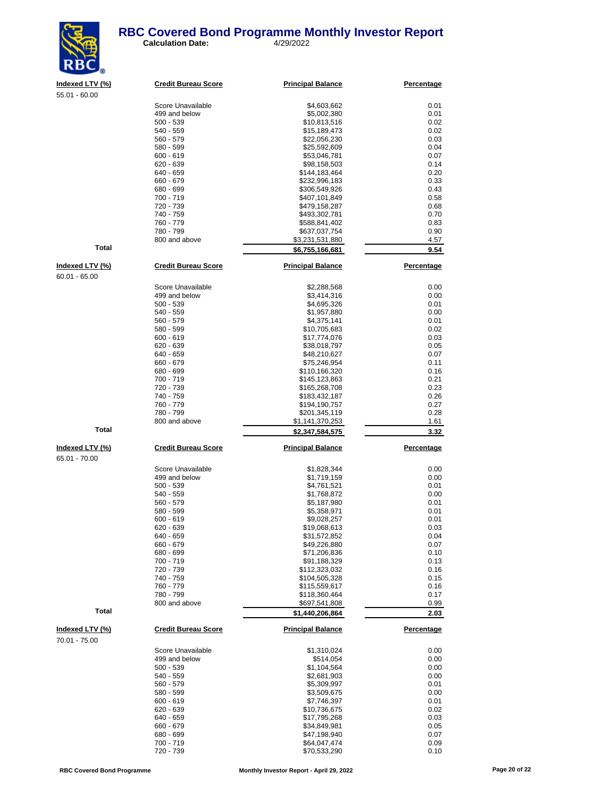#### **RBC Covered Bond Programme Monthly Investor Report**<br>
Calculation Date:  $\frac{4}{29/2022}$ **Calculation Date:**



**Indexed LTV (%) Credit Bureau Score Principal Balance Percentage**

| 55.01 - 60.00          |                                    |                                |                   |
|------------------------|------------------------------------|--------------------------------|-------------------|
|                        | Score Unavailable                  | \$4,603,662                    | 0.01              |
|                        | 499 and below                      | \$5,002,380                    | 0.01              |
|                        | $500 - 539$                        | \$10,813,516                   | 0.02              |
|                        | 540 - 559                          | \$15,189,473                   | 0.02              |
|                        | 560 - 579                          | \$22,056,230                   | 0.03              |
|                        | 580 - 599                          | \$25,592,609                   | 0.04              |
|                        | $600 - 619$                        | \$53,046,781                   | 0.07              |
|                        | 620 - 639                          | \$98,158,503                   | 0.14              |
|                        | 640 - 659                          | \$144,183,464                  | 0.20              |
|                        | 660 - 679                          | \$232,996,183                  | 0.33              |
|                        | 680 - 699                          | \$306,549,926                  | 0.43              |
|                        | 700 - 719<br>720 - 739             | \$407,101,849<br>\$479,158,287 | 0.58<br>0.68      |
|                        | 740 - 759                          | \$493,302,781                  | 0.70              |
|                        | 760 - 779                          | \$588,841,402                  | 0.83              |
|                        | 780 - 799                          | \$637,037,754                  | 0.90              |
|                        | 800 and above                      | \$3,231,531,880                | 4.57              |
| <b>Total</b>           |                                    | \$6,755,166,681                | 9.54              |
|                        |                                    |                                |                   |
| <u>Indexed LTV (%)</u> | <b>Credit Bureau Score</b>         | <b>Principal Balance</b>       | <b>Percentage</b> |
| $60.01 - 65.00$        |                                    |                                |                   |
|                        | Score Unavailable<br>499 and below | \$2,288,568                    | 0.00              |
|                        | $500 - 539$                        | \$3,414,316<br>\$4,695,326     | 0.00<br>0.01      |
|                        | 540 - 559                          | \$1,957,880                    | 0.00              |
|                        | 560 - 579                          | \$4,375,141                    | 0.01              |
|                        | 580 - 599                          | \$10,705,683                   | 0.02              |
|                        | $600 - 619$                        | \$17,774,076                   | 0.03              |
|                        | 620 - 639                          | \$38,018,797                   | 0.05              |
|                        | 640 - 659                          | \$48,210,627                   | 0.07              |
|                        | 660 - 679                          | \$75,246,954                   | 0.11              |
|                        | 680 - 699                          | \$110,166,320                  | 0.16              |
|                        | 700 - 719                          | \$145,123,863                  | 0.21              |
|                        | 720 - 739                          | \$165,268,708                  | 0.23              |
|                        | 740 - 759                          | \$183,432,187                  | 0.26              |
|                        | 760 - 779                          | \$194,190,757                  | 0.27              |
|                        | 780 - 799                          | \$201,345,119                  | 0.28              |
|                        | 800 and above                      | \$1,141,370,253                | 1.61              |
| <b>Total</b>           |                                    | \$2,347,584,575                | 3.32              |
| Indexed LTV (%)        | <b>Credit Bureau Score</b>         | <b>Principal Balance</b>       | <b>Percentage</b> |
| 65.01 - 70.00          |                                    |                                |                   |
|                        | Score Unavailable                  | \$1,828,344                    | 0.00              |
|                        | 499 and below                      | \$1,719,159                    | 0.00              |
|                        | $500 - 539$                        | \$4,761,521                    | 0.01              |
|                        | 540 - 559                          | \$1,768,872                    | 0.00              |
|                        | 560 - 579                          | \$5,187,980                    | 0.01              |
|                        | 580 - 599                          | \$5,358,971                    | 0.01              |
|                        | $600 - 619$                        | \$9,028,257                    | 0.01              |
|                        | 620 - 639                          | \$19,068,613                   | 0.03              |
|                        | 640 - 659                          | \$31,572,852                   | 0.04              |
|                        | 660 - 679                          | \$49,226,880                   | 0.07              |
|                        | 680 - 699<br>700 - 719             | \$71,206,836                   | 0.10              |
|                        | 720 - 739                          | \$91,188,329<br>\$112,323,032  | 0.13<br>0.16      |
|                        | 740 - 759                          | \$104,505,328                  | 0.15              |
|                        | 760 - 779                          | \$115,559,617                  | 0.16              |
|                        | 780 - 799                          | \$118,360,464                  | 0.17              |
|                        | 800 and above                      | \$697,541,808                  | 0.99              |
| Total                  |                                    | \$1,440,206,864                | 2.03              |
|                        |                                    |                                |                   |
| Indexed LTV (%)        | <b>Credit Bureau Score</b>         | <b>Principal Balance</b>       | Percentage        |
| 70.01 - 75.00          |                                    |                                |                   |
|                        | Score Unavailable                  | \$1,310,024                    | 0.00              |
|                        | 499 and below                      | \$514,054                      | 0.00              |
|                        | $500 - 539$                        | \$1,104,564                    | 0.00              |
|                        | 540 - 559                          | \$2,681,903                    | 0.00              |
|                        | 560 - 579                          | \$5,309,997                    | 0.01              |
|                        | 580 - 599                          | \$3,509,675                    | 0.00              |
|                        | $600 - 619$                        | \$7,746,397                    | 0.01              |
|                        | 620 - 639<br>640 - 659             | \$10,736,675<br>\$17,795,268   | 0.02<br>0.03      |
|                        | 660 - 679                          | \$34,849,981                   | 0.05              |
|                        |                                    |                                |                   |

680 - 699 \$47,198,940 0.07 700 - 719 \$64,047,474 0.09

 $$70,533,290$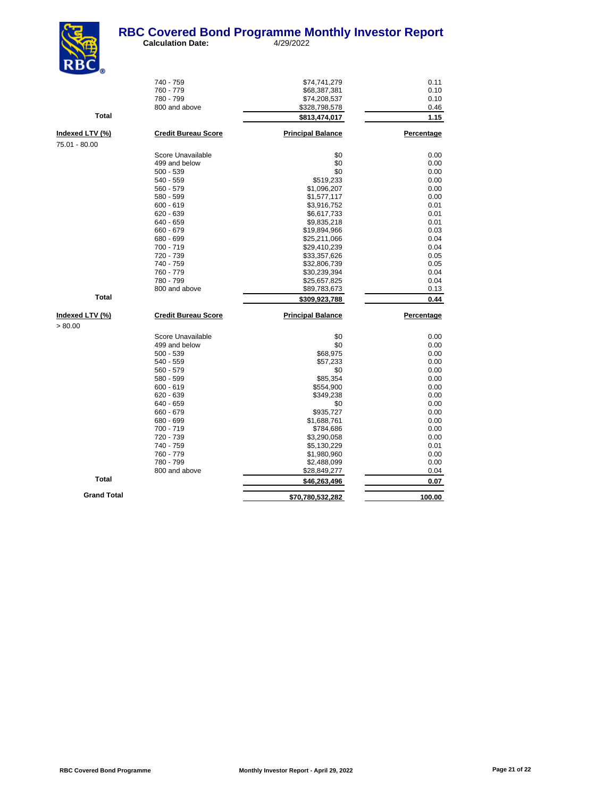

| $\mathbf{N}$ $\mathbf{D}_{\odot}$ |                            |                          |            |
|-----------------------------------|----------------------------|--------------------------|------------|
|                                   | 740 - 759                  | \$74,741,279             | 0.11       |
|                                   | 760 - 779                  | \$68,387,381             | 0.10       |
|                                   | 780 - 799                  | \$74,208,537             | 0.10       |
|                                   | 800 and above              | \$328,798,578            | 0.46       |
| <b>Total</b>                      |                            | \$813,474,017            | 1.15       |
| Indexed LTV (%)                   | <b>Credit Bureau Score</b> | <b>Principal Balance</b> | Percentage |
| 75.01 - 80.00                     |                            |                          |            |
|                                   | Score Unavailable          | \$0                      | 0.00       |
|                                   | 499 and below              | \$0                      | 0.00       |
|                                   | $500 - 539$                | \$0                      | 0.00       |
|                                   | 540 - 559                  | \$519,233                | 0.00       |
|                                   | 560 - 579                  | \$1,096,207              | 0.00       |
|                                   | 580 - 599                  | \$1,577,117              | 0.00       |
|                                   | $600 - 619$                | \$3,916,752              | 0.01       |
|                                   | $620 - 639$                | \$6,617,733              | 0.01       |
|                                   | 640 - 659                  | \$9,835,218              | 0.01       |
|                                   | 660 - 679                  | \$19,894,966             | 0.03       |
|                                   | 680 - 699                  | \$25,211,066             | 0.04       |
|                                   | 700 - 719                  | \$29,410,239             | 0.04       |
|                                   | 720 - 739                  | \$33,357,626             | 0.05       |
|                                   | 740 - 759                  | \$32,806,739             | 0.05       |
|                                   | 760 - 779                  | \$30,239,394             | 0.04       |
|                                   | 780 - 799                  | \$25,657,825             | 0.04       |
|                                   | 800 and above              | \$89,783,673             | 0.13       |
| <b>Total</b>                      |                            | \$309,923,788            | 0.44       |
| Indexed LTV (%)                   | <b>Credit Bureau Score</b> | <b>Principal Balance</b> | Percentage |
| > 80.00                           |                            |                          |            |
|                                   | Score Unavailable          | \$0                      | 0.00       |
|                                   | 499 and below              | \$0                      | 0.00       |
|                                   | $500 - 539$                | \$68,975                 | 0.00       |
|                                   | 540 - 559                  | \$57,233                 | 0.00       |
|                                   | 560 - 579                  | \$0                      | 0.00       |
|                                   | 580 - 599                  | \$85,354                 | 0.00       |
|                                   | $600 - 619$                | \$554,900                | 0.00       |
|                                   | $620 - 639$                | \$349,238                | 0.00       |
|                                   | 640 - 659                  | \$0                      | 0.00       |
|                                   | 660 - 679                  | \$935,727                | 0.00       |
|                                   | 680 - 699                  | \$1,688,761              | 0.00       |
|                                   | 700 - 719                  | \$784,686                | 0.00       |
|                                   | 720 - 739                  | \$3,290,058              | 0.00       |
|                                   | 740 - 759                  | \$5,130,229              | 0.01       |
|                                   | 760 - 779                  | \$1,980,960              | 0.00       |
|                                   | 780 - 799                  | \$2,488,099              | 0.00       |
| <b>Total</b>                      | 800 and above              | \$28,849,277             | 0.04       |
|                                   |                            | \$46,263,496             | 0.07       |
| <b>Grand Total</b>                |                            | \$70,780,532,282         | 100.00     |